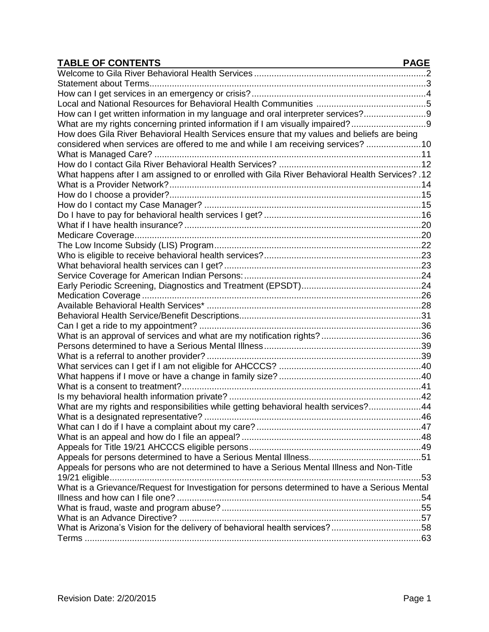| <b>TABLE OF CONTENTS</b>                                                                         | <b>PAGE</b> |
|--------------------------------------------------------------------------------------------------|-------------|
|                                                                                                  |             |
|                                                                                                  |             |
|                                                                                                  |             |
|                                                                                                  |             |
| How can I get written information in my language and oral interpreter services?9                 |             |
| What are my rights concerning printed information if I am visually impaired?9                    |             |
| How does Gila River Behavioral Health Services ensure that my values and beliefs are being       |             |
| considered when services are offered to me and while I am receiving services?  10                |             |
|                                                                                                  |             |
|                                                                                                  |             |
| 12. ?What happens after I am assigned to or enrolled with Gila River Behavioral Health Services? |             |
|                                                                                                  |             |
|                                                                                                  |             |
|                                                                                                  |             |
|                                                                                                  |             |
|                                                                                                  |             |
|                                                                                                  |             |
|                                                                                                  |             |
|                                                                                                  |             |
|                                                                                                  |             |
|                                                                                                  |             |
|                                                                                                  |             |
|                                                                                                  |             |
|                                                                                                  |             |
|                                                                                                  |             |
|                                                                                                  |             |
|                                                                                                  |             |
|                                                                                                  |             |
|                                                                                                  |             |
|                                                                                                  |             |
|                                                                                                  |             |
|                                                                                                  |             |
|                                                                                                  |             |
| What are my rights and responsibilities while getting behavioral health services?44              |             |
|                                                                                                  |             |
|                                                                                                  |             |
|                                                                                                  |             |
|                                                                                                  |             |
|                                                                                                  |             |
| Appeals for persons who are not determined to have a Serious Mental Illness and Non-Title        |             |
|                                                                                                  |             |
| What is a Grievance/Request for Investigation for persons determined to have a Serious Mental    |             |
|                                                                                                  |             |
|                                                                                                  |             |
|                                                                                                  |             |
| What is Arizona's Vision for the delivery of behavioral health services?58                       |             |
|                                                                                                  |             |
|                                                                                                  |             |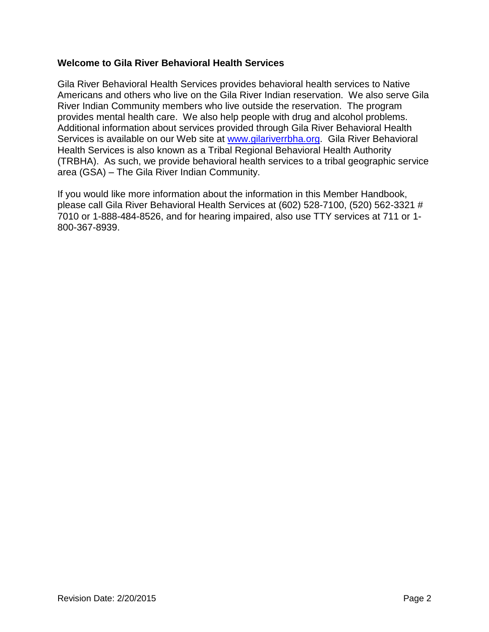### <span id="page-1-0"></span>**Welcome to Gila River Behavioral Health Services**

Gila River Behavioral Health Services provides behavioral health services to Native Americans and others who live on the Gila River Indian reservation. We also serve Gila River Indian Community members who live outside the reservation. The program provides mental health care. We also help people with drug and alcohol problems. Additional information about services provided through Gila River Behavioral Health Services is available on our Web site at [www.gilariverrbha.org.](http://www.gilariverrbha.org/) Gila River Behavioral Health Services is also known as a Tribal Regional Behavioral Health Authority (TRBHA). As such, we provide behavioral health services to a tribal geographic service area (GSA) – The Gila River Indian Community.

If you would like more information about the information in this Member Handbook, please call Gila River Behavioral Health Services at (602) 528-7100, (520) 562-3321 # 7010 or 1-888-484-8526, and for hearing impaired, also use TTY services at 711 or 1- 800-367-8939.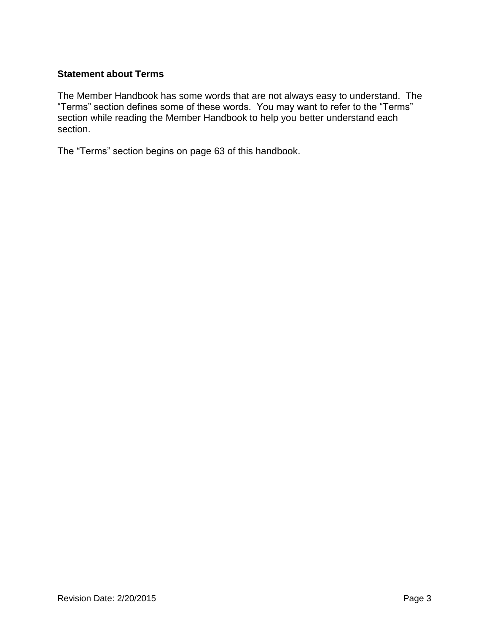### <span id="page-2-0"></span>**Statement about Terms**

The Member Handbook has some words that are not always easy to understand. The "Terms" section defines some of these words. You may want to refer to the "Terms" section while reading the Member Handbook to help you better understand each section.

The "Terms" section begins on page 63 of this handbook.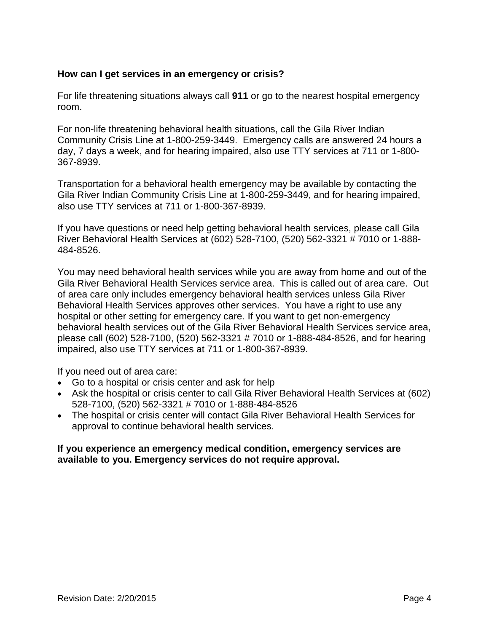### <span id="page-3-0"></span>**How can I get services in an emergency or crisis?**

For life threatening situations always call **911** or go to the nearest hospital emergency room.

For non-life threatening behavioral health situations, call the Gila River Indian Community Crisis Line at 1-800-259-3449. Emergency calls are answered 24 hours a day, 7 days a week, and for hearing impaired, also use TTY services at 711 or 1-800- 367-8939.

Transportation for a behavioral health emergency may be available by contacting the Gila River Indian Community Crisis Line at 1-800-259-3449, and for hearing impaired, also use TTY services at 711 or 1-800-367-8939.

If you have questions or need help getting behavioral health services, please call Gila River Behavioral Health Services at (602) 528-7100, (520) 562-3321 # 7010 or 1-888- 484-8526.

You may need behavioral health services while you are away from home and out of the Gila River Behavioral Health Services service area. This is called out of area care. Out of area care only includes emergency behavioral health services unless Gila River Behavioral Health Services approves other services. You have a right to use any hospital or other setting for emergency care. If you want to get non-emergency behavioral health services out of the Gila River Behavioral Health Services service area, please call (602) 528-7100, (520) 562-3321 # 7010 or 1-888-484-8526, and for hearing impaired, also use TTY services at 711 or 1-800-367-8939.

If you need out of area care:

- Go to a hospital or crisis center and ask for help
- Ask the hospital or crisis center to call Gila River Behavioral Health Services at (602) 528-7100, (520) 562-3321 # 7010 or 1-888-484-8526
- The hospital or crisis center will contact Gila River Behavioral Health Services for approval to continue behavioral health services.

#### **If you experience an emergency medical condition, emergency services are available to you. Emergency services do not require approval.**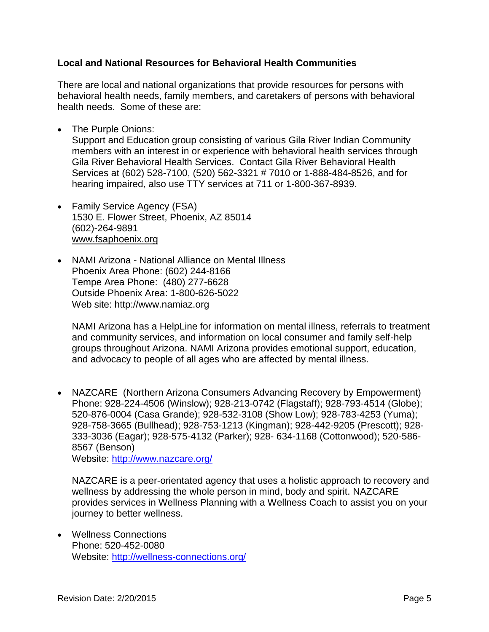### <span id="page-4-0"></span>**Local and National Resources for Behavioral Health Communities**

There are local and national organizations that provide resources for persons with behavioral health needs, family members, and caretakers of persons with behavioral health needs. Some of these are:

• The Purple Onions:

Support and Education group consisting of various Gila River Indian Community members with an interest in or experience with behavioral health services through Gila River Behavioral Health Services. Contact Gila River Behavioral Health Services at (602) 528-7100, (520) 562-3321 # 7010 or 1-888-484-8526, and for hearing impaired, also use TTY services at 711 or 1-800-367-8939.

- Family Service Agency (FSA) 1530 E. Flower Street, Phoenix, AZ 85014 (602)-264-9891 [www.fsaphoenix.org](http://www.fsaphoenix.org/)
- NAMI Arizona National Alliance on Mental Illness Phoenix Area Phone: (602) 244-8166 Tempe Area Phone: (480) 277-6628 Outside Phoenix Area: 1-800-626-5022 Web site: [http://www.namiaz.org](http://www.namiaz.org/)

NAMI Arizona has a HelpLine for information on mental illness, referrals to treatment and community services, and information on local consumer and family self-help groups throughout Arizona. NAMI Arizona provides emotional support, education, and advocacy to people of all ages who are affected by mental illness.

• NAZCARE (Northern Arizona Consumers Advancing Recovery by Empowerment) Phone: 928-224-4506 (Winslow); 928-213-0742 (Flagstaff); 928-793-4514 (Globe); 520-876-0004 (Casa Grande); 928-532-3108 (Show Low); 928-783-4253 (Yuma); 928-758-3665 (Bullhead); 928-753-1213 (Kingman); 928-442-9205 (Prescott); 928- 333-3036 (Eagar); 928-575-4132 (Parker); 928- 634-1168 (Cottonwood); 520-586- 8567 (Benson)

Website:<http://www.nazcare.org/>

NAZCARE is a peer-orientated agency that uses a holistic approach to recovery and wellness by addressing the whole person in mind, body and spirit. NAZCARE provides services in Wellness Planning with a Wellness Coach to assist you on your journey to better wellness.

 Wellness Connections Phone: 520-452-0080 Website:<http://wellness-connections.org/>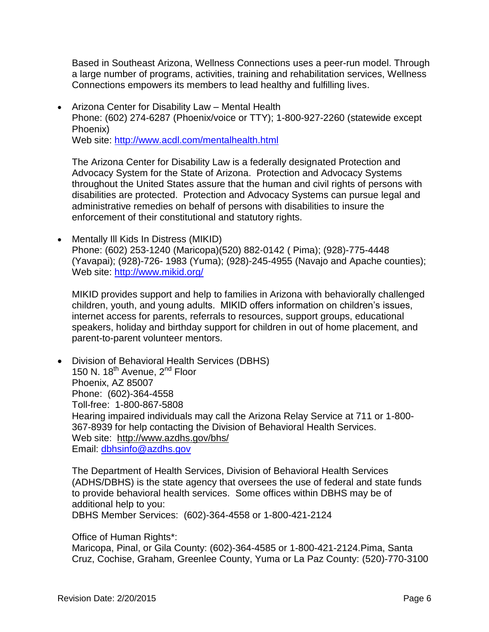Based in Southeast Arizona, Wellness Connections uses a peer-run model. Through a large number of programs, activities, training and rehabilitation services, Wellness Connections empowers its members to lead healthy and fulfilling lives.

 Arizona Center for Disability Law – Mental Health Phone: (602) 274-6287 (Phoenix/voice or TTY); 1-800-927-2260 (statewide except Phoenix) Web site:<http://www.acdl.com/mentalhealth.html>

The Arizona Center for Disability Law is a federally designated Protection and Advocacy System for the State of Arizona. Protection and Advocacy Systems throughout the United States assure that the human and civil rights of persons with disabilities are protected. Protection and Advocacy Systems can pursue legal and administrative remedies on behalf of persons with disabilities to insure the enforcement of their constitutional and statutory rights.

• Mentally III Kids In Distress (MIKID) Phone: (602) 253-1240 (Maricopa)(520) 882-0142 ( Pima); (928)-775-4448 (Yavapai); (928)-726- 1983 (Yuma); (928)-245-4955 (Navajo and Apache counties); Web site:<http://www.mikid.org/>

MIKID provides support and help to families in Arizona with behaviorally challenged children, youth, and young adults. MIKID offers information on children's issues, internet access for parents, referrals to resources, support groups, educational speakers, holiday and birthday support for children in out of home placement, and parent-to-parent volunteer mentors.

 Division of Behavioral Health Services (DBHS) 150 N. 18<sup>th</sup> Avenue, 2<sup>nd</sup> Floor Phoenix, AZ 85007 Phone: (602)-364-4558 Toll-free: 1-800-867-5808 Hearing impaired individuals may call the Arizona Relay Service at 711 or 1-800- 367-8939 for help contacting the Division of Behavioral Health Services. Web site: <http://www.azdhs.gov/bhs/> Email: dbhsinfo@azdhs.gov

The Department of Health Services, Division of Behavioral Health Services (ADHS/DBHS) is the state agency that oversees the use of federal and state funds to provide behavioral health services. Some offices within DBHS may be of additional help to you:

DBHS Member Services: (602)-364-4558 or 1-800-421-2124

Office of Human Rights\*:

Maricopa, Pinal, or Gila County: (602)-364-4585 or 1-800-421-2124.Pima, Santa Cruz, Cochise, Graham, Greenlee County, Yuma or La Paz County: (520)-770-3100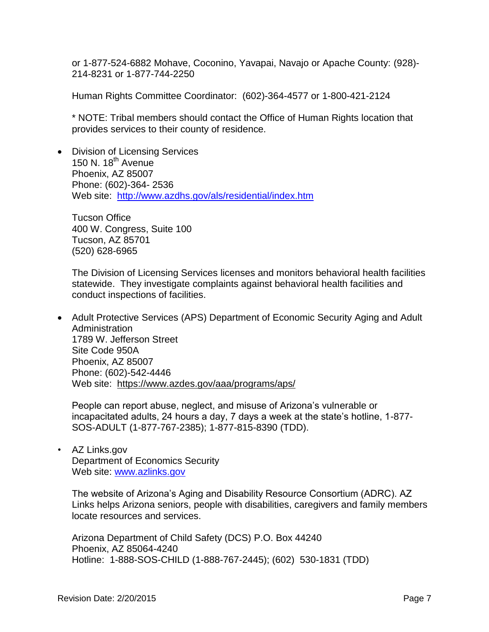or 1-877-524-6882 Mohave, Coconino, Yavapai, Navajo or Apache County: (928)- 214-8231 or 1-877-744-2250

Human Rights Committee Coordinator: (602)-364-4577 or 1-800-421-2124

\* NOTE: Tribal members should contact the Office of Human Rights location that provides services to their county of residence.

• Division of Licensing Services 150 N. 18<sup>th</sup> Avenue Phoenix, AZ 85007 Phone: (602)-364- 2536 Web site: <http://www.azdhs.gov/als/residential/index.htm>

Tucson Office 400 W. Congress, Suite 100 Tucson, AZ 85701 (520) 628-6965

The Division of Licensing Services licenses and monitors behavioral health facilities statewide. They investigate complaints against behavioral health facilities and conduct inspections of facilities.

 Adult Protective Services (APS) Department of Economic Security Aging and Adult Administration 1789 W. Jefferson Street Site Code 950A Phoenix, AZ 85007 Phone: (602)-542-4446 Web site: <https://www.azdes.gov/aaa/programs/aps/>

People can report abuse, neglect, and misuse of Arizona's vulnerable or incapacitated adults, 24 hours a day, 7 days a week at the state's hotline, 1-877- SOS-ADULT (1-877-767-2385); 1-877-815-8390 (TDD).

• AZ Links.gov Department of Economics Security Web site: [www.azlinks.gov](http://www.azlinks.gov/)

The website of Arizona's Aging and Disability Resource Consortium (ADRC). AZ Links helps Arizona seniors, people with disabilities, caregivers and family members locate resources and services.

Arizona Department of Child Safety (DCS) P.O. Box 44240 Phoenix, AZ 85064-4240 Hotline: 1-888-SOS-CHILD (1-888-767-2445); (602) 530-1831 (TDD)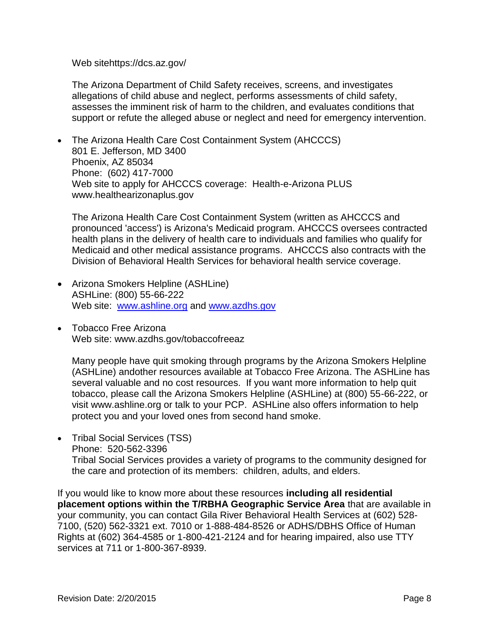Web sitehttps://dcs.az.gov/

The Arizona Department of Child Safety receives, screens, and investigates allegations of child abuse and neglect, performs assessments of child safety, assesses the imminent risk of harm to the children, and evaluates conditions that support or refute the alleged abuse or neglect and need for emergency intervention.

 The Arizona Health Care Cost Containment System (AHCCCS) 801 E. Jefferson, MD 3400 Phoenix, AZ 85034 Phone: (602) 417-7000 Web site to apply for AHCCCS coverage: Health-e-Arizona PLUS www.healthearizonaplus.gov

The Arizona Health Care Cost Containment System (written as AHCCCS and pronounced 'access') is Arizona's Medicaid program. AHCCCS oversees contracted health plans in the delivery of health care to individuals and families who qualify for Medicaid and other medical assistance programs. AHCCCS also contracts with the Division of Behavioral Health Services for behavioral health service coverage.

- Arizona Smokers Helpline (ASHLine) ASHLine: (800) 55-66-222 Web site: [www.ashline.org](http://www.ashline.org/) and [www.azdhs.gov](http://www.azdhs.gov/)
- Tobacco Free Arizona Web site: www.azdhs.gov/tobaccofreeaz

Many people have quit smoking through programs by the Arizona Smokers Helpline (ASHLine) andother resources available at Tobacco Free Arizona. The ASHLine has several valuable and no cost resources. If you want more information to help quit tobacco, please call the Arizona Smokers Helpline (ASHLine) at (800) 55-66-222, or visit www.ashline.org or talk to your PCP. ASHLine also offers information to help protect you and your loved ones from second hand smoke.

• Tribal Social Services (TSS) Phone: 520-562-3396

Tribal Social Services provides a variety of programs to the community designed for the care and protection of its members: children, adults, and elders.

If you would like to know more about these resources **including all residential placement options within the T/RBHA Geographic Service Area** that are available in your community, you can contact Gila River Behavioral Health Services at (602) 528- 7100, (520) 562-3321 ext. 7010 or 1-888-484-8526 or ADHS/DBHS Office of Human Rights at (602) 364-4585 or 1-800-421-2124 and for hearing impaired, also use TTY services at 711 or 1-800-367-8939.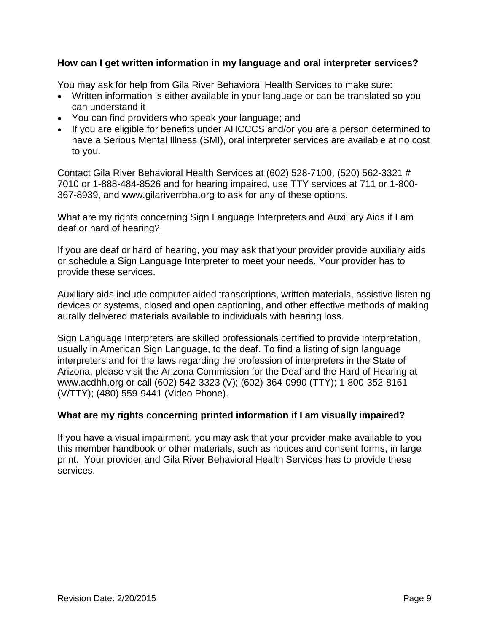### <span id="page-8-0"></span>**How can I get written information in my language and oral interpreter services?**

You may ask for help from Gila River Behavioral Health Services to make sure:

- Written information is either available in your language or can be translated so you can understand it
- You can find providers who speak your language; and
- If you are eligible for benefits under AHCCCS and/or you are a person determined to have a Serious Mental Illness (SMI), oral interpreter services are available at no cost to you.

Contact Gila River Behavioral Health Services at (602) 528-7100, (520) 562-3321 # 7010 or 1-888-484-8526 and for hearing impaired, use TTY services at 711 or 1-800- 367-8939, and www.gilariverrbha.org to ask for any of these options.

### What are my rights concerning Sign Language Interpreters and Auxiliary Aids if I am deaf or hard of hearing?

If you are deaf or hard of hearing, you may ask that your provider provide auxiliary aids or schedule a Sign Language Interpreter to meet your needs. Your provider has to provide these services.

Auxiliary aids include computer-aided transcriptions, written materials, assistive listening devices or systems, closed and open captioning, and other effective methods of making aurally delivered materials available to individuals with hearing loss.

Sign Language Interpreters are skilled professionals certified to provide interpretation, usually in American Sign Language, to the deaf. To find a listing of sign language interpreters and for the laws regarding the profession of interpreters in the State of Arizona, please visit the Arizona Commission for the Deaf and the Hard of Hearing at [www.acdhh.org](http://www.acdhh.org/) or call (602) 542-3323 (V); (602)-364-0990 (TTY); 1-800-352-8161 (V/TTY); (480) 559-9441 (Video Phone).

### <span id="page-8-1"></span>**What are my rights concerning printed information if I am visually impaired?**

If you have a visual impairment, you may ask that your provider make available to you this member handbook or other materials, such as notices and consent forms, in large print. Your provider and Gila River Behavioral Health Services has to provide these services.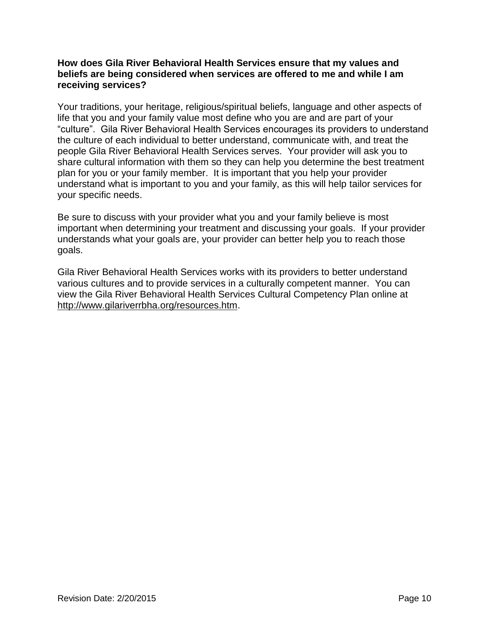### <span id="page-9-0"></span>**How does Gila River Behavioral Health Services ensure that my values and beliefs are being considered when services are offered to me and while I am receiving services?**

Your traditions, your heritage, religious/spiritual beliefs, language and other aspects of life that you and your family value most define who you are and are part of your "culture". Gila River Behavioral Health Services encourages its providers to understand the culture of each individual to better understand, communicate with, and treat the people Gila River Behavioral Health Services serves. Your provider will ask you to share cultural information with them so they can help you determine the best treatment plan for you or your family member. It is important that you help your provider understand what is important to you and your family, as this will help tailor services for your specific needs.

Be sure to discuss with your provider what you and your family believe is most important when determining your treatment and discussing your goals. If your provider understands what your goals are, your provider can better help you to reach those goals.

Gila River Behavioral Health Services works with its providers to better understand various cultures and to provide services in a culturally competent manner. You can view the Gila River Behavioral Health Services Cultural Competency Plan online at [http://www.gilariverrbha.org/resources.htm.](http://www.gilariverrbha.org/resources.htm)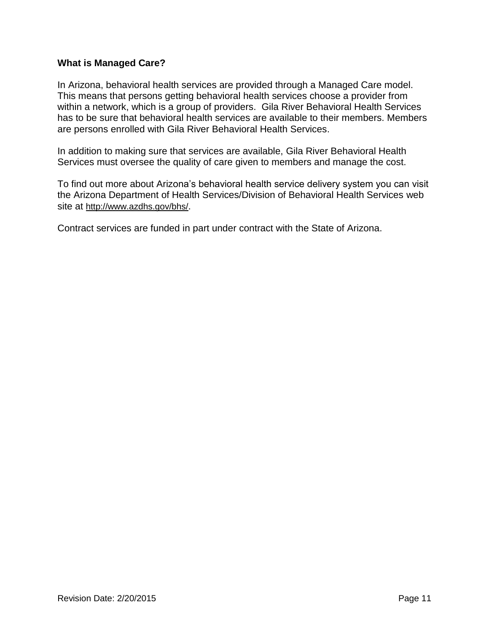### <span id="page-10-0"></span>**What is Managed Care?**

In Arizona, behavioral health services are provided through a Managed Care model. This means that persons getting behavioral health services choose a provider from within a network, which is a group of providers. Gila River Behavioral Health Services has to be sure that behavioral health services are available to their members. Members are persons enrolled with Gila River Behavioral Health Services.

In addition to making sure that services are available, Gila River Behavioral Health Services must oversee the quality of care given to members and manage the cost.

To find out more about Arizona's behavioral health service delivery system you can visit the Arizona Department of Health Services/Division of Behavioral Health Services web site at <http://www.azdhs.gov/bhs/>.

Contract services are funded in part under contract with the State of Arizona.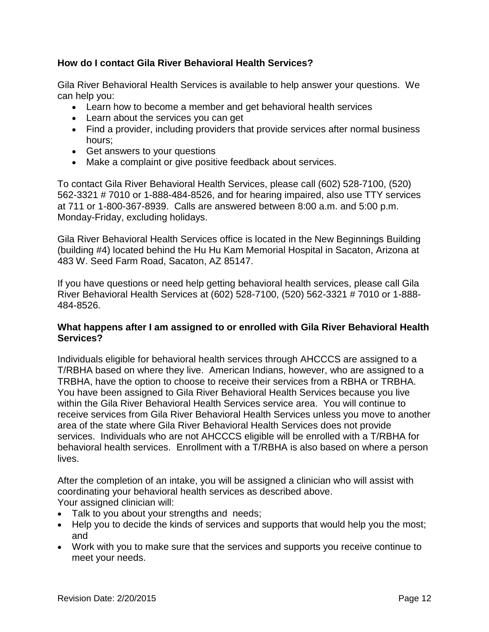### <span id="page-11-0"></span>**How do I contact Gila River Behavioral Health Services?**

Gila River Behavioral Health Services is available to help answer your questions. We can help you:

- Learn how to become a member and get behavioral health services
- Learn about the services you can get
- Find a provider, including providers that provide services after normal business hours;
- Get answers to your questions
- Make a complaint or give positive feedback about services.

To contact Gila River Behavioral Health Services, please call (602) 528-7100, (520) 562-3321 # 7010 or 1-888-484-8526, and for hearing impaired, also use TTY services at 711 or 1-800-367-8939. Calls are answered between 8:00 a.m. and 5:00 p.m. Monday-Friday, excluding holidays.

Gila River Behavioral Health Services office is located in the New Beginnings Building (building #4) located behind the Hu Hu Kam Memorial Hospital in Sacaton, Arizona at 483 W. Seed Farm Road, Sacaton, AZ 85147.

If you have questions or need help getting behavioral health services, please call Gila River Behavioral Health Services at (602) 528-7100, (520) 562-3321 # 7010 or 1-888- 484-8526.

### <span id="page-11-1"></span>**What happens after I am assigned to or enrolled with Gila River Behavioral Health Services?**

Individuals eligible for behavioral health services through AHCCCS are assigned to a T/RBHA based on where they live. American Indians, however, who are assigned to a TRBHA, have the option to choose to receive their services from a RBHA or TRBHA. You have been assigned to Gila River Behavioral Health Services because you live within the Gila River Behavioral Health Services service area. You will continue to receive services from Gila River Behavioral Health Services unless you move to another area of the state where Gila River Behavioral Health Services does not provide services. Individuals who are not AHCCCS eligible will be enrolled with a T/RBHA for behavioral health services. Enrollment with a T/RBHA is also based on where a person lives.

After the completion of an intake, you will be assigned a clinician who will assist with coordinating your behavioral health services as described above. Your assigned clinician will:

- Talk to you about your strengths and needs;
- Help you to decide the kinds of services and supports that would help you the most; and
- Work with you to make sure that the services and supports you receive continue to meet your needs.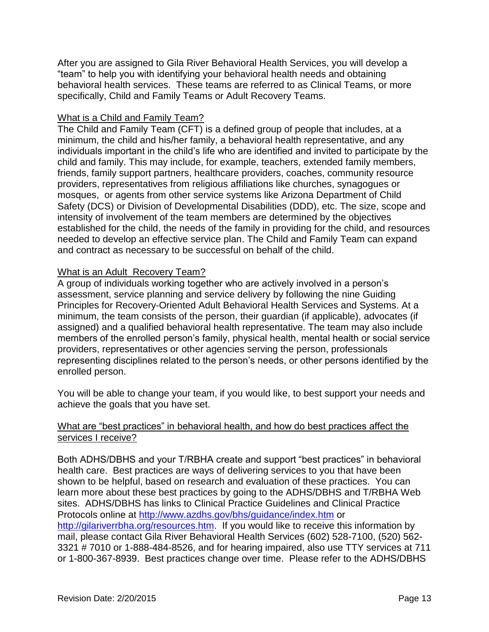After you are assigned to Gila River Behavioral Health Services, you will develop a "team" to help you with identifying your behavioral health needs and obtaining behavioral health services. These teams are referred to as Clinical Teams, or more specifically, Child and Family Teams or Adult Recovery Teams.

### What is a Child and Family Team?

The Child and Family Team (CFT) is a defined group of people that includes, at a minimum, the child and his/her family, a behavioral health representative, and any individuals important in the child's life who are identified and invited to participate by the child and family. This may include, for example, teachers, extended family members, friends, family support partners, healthcare providers, coaches, community resource providers, representatives from religious affiliations like churches, synagogues or mosques, or agents from other service systems like Arizona Department of Child Safety (DCS) or Division of Developmental Disabilities (DDD), etc. The size, scope and intensity of involvement of the team members are determined by the objectives established for the child, the needs of the family in providing for the child, and resources needed to develop an effective service plan. The Child and Family Team can expand and contract as necessary to be successful on behalf of the child.

### What is an Adult Recovery Team?

A group of individuals working together who are actively involved in a person's assessment, service planning and service delivery by following the nine Guiding Principles for Recovery-Oriented Adult Behavioral Health Services and Systems. At a minimum, the team consists of the person, their guardian (if applicable), advocates (if assigned) and a qualified behavioral health representative. The team may also include members of the enrolled person's family, physical health, mental health or social service providers, representatives or other agencies serving the person, professionals representing disciplines related to the person's needs, or other persons identified by the enrolled person.

You will be able to change your team, if you would like, to best support your needs and achieve the goals that you have set.

### What are "best practices" in behavioral health, and how do best practices affect the services I receive?

Both ADHS/DBHS and your T/RBHA create and support "best practices" in behavioral health care. Best practices are ways of delivering services to you that have been shown to be helpful, based on research and evaluation of these practices. You can learn more about these best practices by going to the ADHS/DBHS and T/RBHA Web sites. ADHS/DBHS has links to Clinical Practice Guidelines and Clinical Practice Protocols online at<http://www.azdhs.gov/bhs/guidance/index.htm> or [http://gilariverrbha.org/resources.htm.](http://gilariverrbha.org/resources.htm) If you would like to receive this information by mail, please contact Gila River Behavioral Health Services (602) 528-7100, (520) 562- 3321 # 7010 or 1-888-484-8526, and for hearing impaired, also use TTY services at 711 or 1-800-367-8939.Best practices change over time. Please refer to the ADHS/DBHS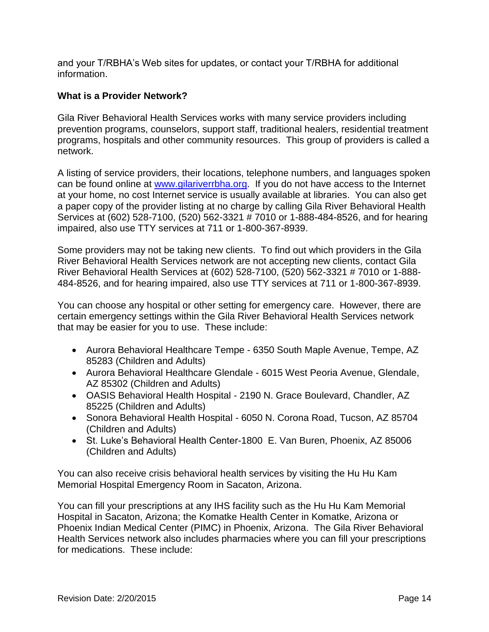and your T/RBHA's Web sites for updates, or contact your T/RBHA for additional information.

### <span id="page-13-0"></span>**What is a Provider Network?**

Gila River Behavioral Health Services works with many service providers including prevention programs, counselors, support staff, traditional healers, residential treatment programs, hospitals and other community resources. This group of providers is called a network.

A listing of service providers, their locations, telephone numbers, and languages spoken can be found online at [www.gilariverrbha.org.](http://www.gilariverrbha.org/) If you do not have access to the Internet at your home, no cost Internet service is usually available at libraries. You can also get a paper copy of the provider listing at no charge by calling Gila River Behavioral Health Services at (602) 528-7100, (520) 562-3321 # 7010 or 1-888-484-8526, and for hearing impaired, also use TTY services at 711 or 1-800-367-8939.

Some providers may not be taking new clients. To find out which providers in the Gila River Behavioral Health Services network are not accepting new clients, contact Gila River Behavioral Health Services at (602) 528-7100, (520) 562-3321 # 7010 or 1-888- 484-8526, and for hearing impaired, also use TTY services at 711 or 1-800-367-8939.

You can choose any hospital or other setting for emergency care. However, there are certain emergency settings within the Gila River Behavioral Health Services network that may be easier for you to use. These include:

- Aurora Behavioral Healthcare Tempe 6350 South Maple Avenue, Tempe, AZ 85283 (Children and Adults)
- Aurora Behavioral Healthcare Glendale 6015 West Peoria Avenue, Glendale, AZ 85302 (Children and Adults)
- OASIS Behavioral Health Hospital 2190 N. Grace Boulevard, Chandler, AZ 85225 (Children and Adults)
- Sonora Behavioral Health Hospital 6050 N. Corona Road, Tucson, AZ 85704 (Children and Adults)
- St. Luke's Behavioral Health Center-1800 E. Van Buren, Phoenix, AZ 85006 (Children and Adults)

You can also receive crisis behavioral health services by visiting the Hu Hu Kam Memorial Hospital Emergency Room in Sacaton, Arizona.

You can fill your prescriptions at any IHS facility such as the Hu Hu Kam Memorial Hospital in Sacaton, Arizona; the Komatke Health Center in Komatke, Arizona or Phoenix Indian Medical Center (PIMC) in Phoenix, Arizona. The Gila River Behavioral Health Services network also includes pharmacies where you can fill your prescriptions for medications. These include: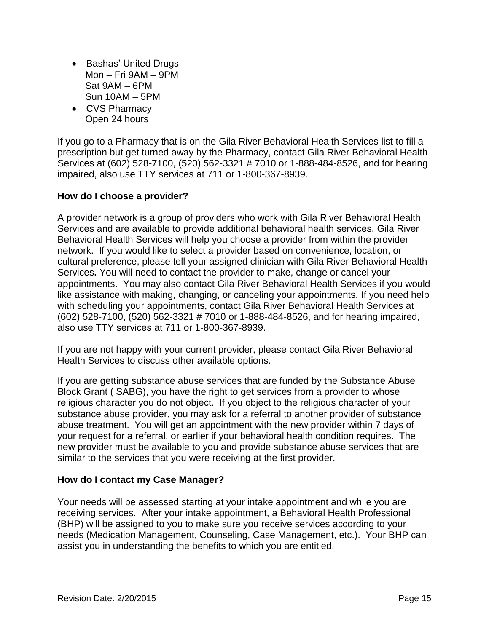- Bashas' United Drugs Mon – Fri 9AM – 9PM Sat 9AM – 6PM Sun 10AM – 5PM
- CVS Pharmacy Open 24 hours

If you go to a Pharmacy that is on the Gila River Behavioral Health Services list to fill a prescription but get turned away by the Pharmacy, contact Gila River Behavioral Health Services at (602) 528-7100, (520) 562-3321 # 7010 or 1-888-484-8526, and for hearing impaired, also use TTY services at 711 or 1-800-367-8939.

### <span id="page-14-0"></span>**How do I choose a provider?**

A provider network is a group of providers who work with Gila River Behavioral Health Services and are available to provide additional behavioral health services. Gila River Behavioral Health Services will help you choose a provider from within the provider network. If you would like to select a provider based on convenience, location, or cultural preference, please tell your assigned clinician with Gila River Behavioral Health Services**.** You will need to contact the provider to make, change or cancel your appointments. You may also contact Gila River Behavioral Health Services if you would like assistance with making, changing, or canceling your appointments. If you need help with scheduling your appointments, contact Gila River Behavioral Health Services at (602) 528-7100, (520) 562-3321 # 7010 or 1-888-484-8526, and for hearing impaired, also use TTY services at 711 or 1-800-367-8939.

If you are not happy with your current provider, please contact Gila River Behavioral Health Services to discuss other available options.

If you are getting substance abuse services that are funded by the Substance Abuse Block Grant ( SABG), you have the right to get services from a provider to whose religious character you do not object. If you object to the religious character of your substance abuse provider, you may ask for a referral to another provider of substance abuse treatment. You will get an appointment with the new provider within 7 days of your request for a referral, or earlier if your behavioral health condition requires. The new provider must be available to you and provide substance abuse services that are similar to the services that you were receiving at the first provider.

### <span id="page-14-1"></span>**How do I contact my Case Manager?**

Your needs will be assessed starting at your intake appointment and while you are receiving services. After your intake appointment, a Behavioral Health Professional (BHP) will be assigned to you to make sure you receive services according to your needs (Medication Management, Counseling, Case Management, etc.). Your BHP can assist you in understanding the benefits to which you are entitled.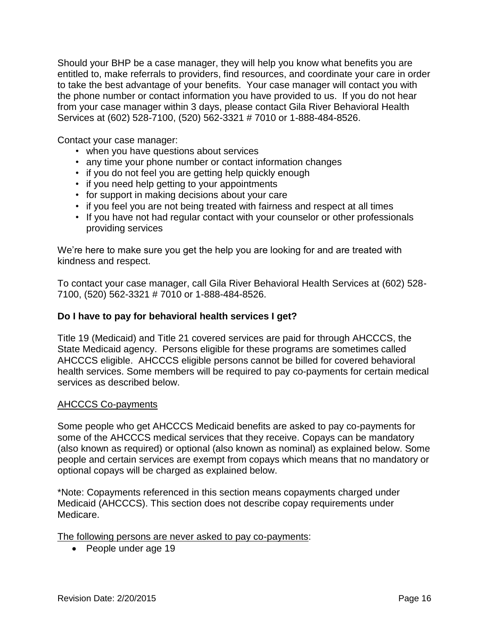Should your BHP be a case manager, they will help you know what benefits you are entitled to, make referrals to providers, find resources, and coordinate your care in order to take the best advantage of your benefits. Your case manager will contact you with the phone number or contact information you have provided to us. If you do not hear from your case manager within 3 days, please contact Gila River Behavioral Health Services at (602) 528-7100, (520) 562-3321 # 7010 or 1-888-484-8526.

Contact your case manager:

- when you have questions about services
- any time your phone number or contact information changes
- if you do not feel you are getting help quickly enough
- if you need help getting to your appointments
- for support in making decisions about your care
- if you feel you are not being treated with fairness and respect at all times
- If you have not had regular contact with your counselor or other professionals providing services

We're here to make sure you get the help you are looking for and are treated with kindness and respect.

To contact your case manager, call Gila River Behavioral Health Services at (602) 528- 7100, (520) 562-3321 # 7010 or 1-888-484-8526.

#### <span id="page-15-0"></span>**Do I have to pay for behavioral health services I get?**

Title 19 (Medicaid) and Title 21 covered services are paid for through AHCCCS, the State Medicaid agency. Persons eligible for these programs are sometimes called AHCCCS eligible. AHCCCS eligible persons cannot be billed for covered behavioral health services. Some members will be required to pay co-payments for certain medical services as described below.

#### AHCCCS Co-payments

Some people who get AHCCCS Medicaid benefits are asked to pay co-payments for some of the AHCCCS medical services that they receive. Copays can be mandatory (also known as required) or optional (also known as nominal) as explained below. Some people and certain services are exempt from copays which means that no mandatory or optional copays will be charged as explained below.

\*Note: Copayments referenced in this section means copayments charged under Medicaid (AHCCCS). This section does not describe copay requirements under Medicare.

The following persons are never asked to pay co-payments:

• People under age 19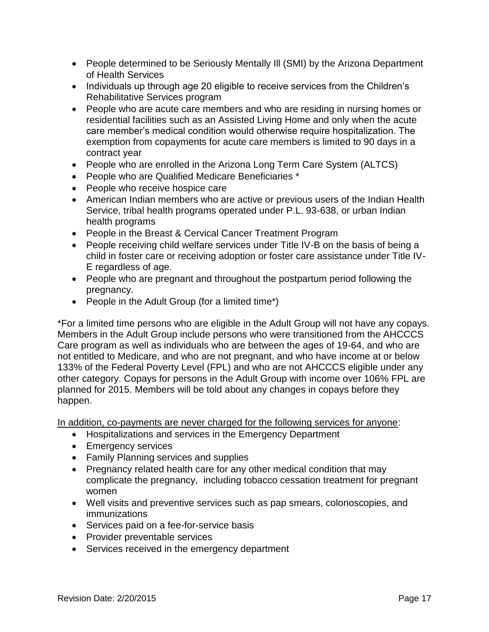- People determined to be Seriously Mentally III (SMI) by the Arizona Department of Health Services
- Individuals up through age 20 eligible to receive services from the Children's Rehabilitative Services program
- People who are acute care members and who are residing in nursing homes or residential facilities such as an Assisted Living Home and only when the acute care member's medical condition would otherwise require hospitalization. The exemption from copayments for acute care members is limited to 90 days in a contract year
- People who are enrolled in the Arizona Long Term Care System (ALTCS)
- People who are Qualified Medicare Beneficiaries \*
- People who receive hospice care
- American Indian members who are active or previous users of the Indian Health Service, tribal health programs operated under P.L. 93-638, or urban Indian health programs
- People in the Breast & Cervical Cancer Treatment Program
- People receiving child welfare services under Title IV-B on the basis of being a child in foster care or receiving adoption or foster care assistance under Title IV-E regardless of age.
- People who are pregnant and throughout the postpartum period following the pregnancy.
- People in the Adult Group (for a limited time\*)

\*For a limited time persons who are eligible in the Adult Group will not have any copays. Members in the Adult Group include persons who were transitioned from the AHCCCS Care program as well as individuals who are between the ages of 19-64, and who are not entitled to Medicare, and who are not pregnant, and who have income at or below 133% of the Federal Poverty Level (FPL) and who are not AHCCCS eligible under any other category. Copays for persons in the Adult Group with income over 106% FPL are planned for 2015. Members will be told about any changes in copays before they happen.

In addition, co-payments are never charged for the following services for anyone:

- Hospitalizations and services in the Emergency Department
- **Emergency services**
- Family Planning services and supplies
- Pregnancy related health care for any other medical condition that may complicate the pregnancy, including tobacco cessation treatment for pregnant women
- Well visits and preventive services such as pap smears, colonoscopies, and immunizations
- Services paid on a fee-for-service basis
- Provider preventable services
- Services received in the emergency department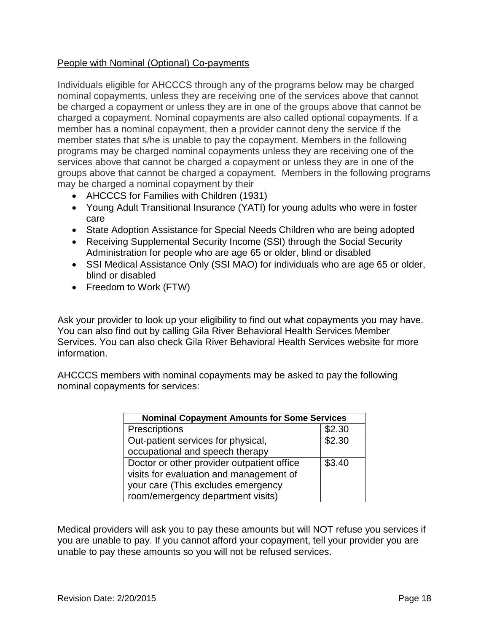### People with Nominal (Optional) Co-payments

Individuals eligible for AHCCCS through any of the programs below may be charged nominal copayments, unless they are receiving one of the services above that cannot be charged a copayment or unless they are in one of the groups above that cannot be charged a copayment. Nominal copayments are also called optional copayments. If a member has a nominal copayment, then a provider cannot deny the service if the member states that s/he is unable to pay the copayment. Members in the following programs may be charged nominal copayments unless they are receiving one of the services above that cannot be charged a copayment or unless they are in one of the groups above that cannot be charged a copayment. Members in the following programs may be charged a nominal copayment by their

- AHCCCS for Families with Children (1931)
- Young Adult Transitional Insurance (YATI) for young adults who were in foster care
- State Adoption Assistance for Special Needs Children who are being adopted
- Receiving Supplemental Security Income (SSI) through the Social Security Administration for people who are age 65 or older, blind or disabled
- SSI Medical Assistance Only (SSI MAO) for individuals who are age 65 or older, blind or disabled
- Freedom to Work (FTW)

Ask your provider to look up your eligibility to find out what copayments you may have. You can also find out by calling Gila River Behavioral Health Services Member Services. You can also check Gila River Behavioral Health Services website for more information.

AHCCCS members with nominal copayments may be asked to pay the following nominal copayments for services:

| <b>Nominal Copayment Amounts for Some Services</b> |        |  |
|----------------------------------------------------|--------|--|
| Prescriptions                                      | \$2.30 |  |
| Out-patient services for physical,                 | \$2.30 |  |
| occupational and speech therapy                    |        |  |
| Doctor or other provider outpatient office         | \$3.40 |  |
| visits for evaluation and management of            |        |  |
| your care (This excludes emergency                 |        |  |
| room/emergency department visits)                  |        |  |

Medical providers will ask you to pay these amounts but will NOT refuse you services if you are unable to pay. If you cannot afford your copayment, tell your provider you are unable to pay these amounts so you will not be refused services.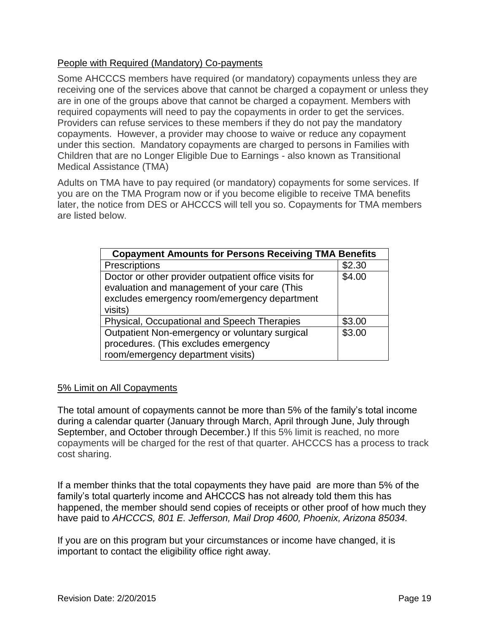# People with Required (Mandatory) Co-payments

Some AHCCCS members have required (or mandatory) copayments unless they are receiving one of the services above that cannot be charged a copayment or unless they are in one of the groups above that cannot be charged a copayment. Members with required copayments will need to pay the copayments in order to get the services. Providers can refuse services to these members if they do not pay the mandatory copayments. However, a provider may choose to waive or reduce any copayment under this section. Mandatory copayments are charged to persons in Families with Children that are no Longer Eligible Due to Earnings - also known as Transitional Medical Assistance (TMA)

Adults on TMA have to pay required (or mandatory) copayments for some services. If you are on the TMA Program now or if you become eligible to receive TMA benefits later, the notice from DES or AHCCCS will tell you so. Copayments for TMA members are listed below.

| <b>Copayment Amounts for Persons Receiving TMA Benefits</b> |        |
|-------------------------------------------------------------|--------|
| Prescriptions                                               | \$2.30 |
| Doctor or other provider outpatient office visits for       | \$4.00 |
| evaluation and management of your care (This                |        |
| excludes emergency room/emergency department                |        |
| visits)                                                     |        |
| Physical, Occupational and Speech Therapies                 | \$3.00 |
| Outpatient Non-emergency or voluntary surgical              | \$3.00 |
| procedures. (This excludes emergency                        |        |
| room/emergency department visits)                           |        |

### 5% Limit on All Copayments

The total amount of copayments cannot be more than 5% of the family's total income during a calendar quarter (January through March, April through June, July through September, and October through December.) If this 5% limit is reached, no more copayments will be charged for the rest of that quarter. AHCCCS has a process to track cost sharing.

If a member thinks that the total copayments they have paid are more than 5% of the family's total quarterly income and AHCCCS has not already told them this has happened, the member should send copies of receipts or other proof of how much they have paid to *AHCCCS, 801 E. Jefferson, Mail Drop 4600, Phoenix, Arizona 85034.*

If you are on this program but your circumstances or income have changed, it is important to contact the eligibility office right away.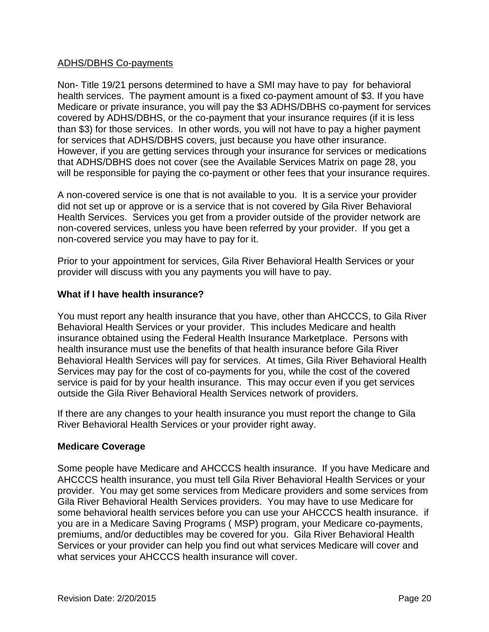### ADHS/DBHS Co-payments

Non- Title 19/21 persons determined to have a SMI may have to pay for behavioral health services. The payment amount is a fixed co-payment amount of \$3. If you have Medicare or private insurance, you will pay the \$3 ADHS/DBHS co-payment for services covered by ADHS/DBHS, or the co-payment that your insurance requires (if it is less than \$3) for those services. In other words, you will not have to pay a higher payment for services that ADHS/DBHS covers, just because you have other insurance. However, if you are getting services through your insurance for services or medications that ADHS/DBHS does not cover (see the Available Services Matrix on page 28, you will be responsible for paying the co-payment or other fees that your insurance requires.

A non-covered service is one that is not available to you. It is a service your provider did not set up or approve or is a service that is not covered by Gila River Behavioral Health Services. Services you get from a provider outside of the provider network are non-covered services, unless you have been referred by your provider. If you get a non-covered service you may have to pay for it.

Prior to your appointment for services, Gila River Behavioral Health Services or your provider will discuss with you any payments you will have to pay.

### <span id="page-19-0"></span>**What if I have health insurance?**

You must report any health insurance that you have, other than AHCCCS, to Gila River Behavioral Health Services or your provider. This includes Medicare and health insurance obtained using the Federal Health Insurance Marketplace. Persons with health insurance must use the benefits of that health insurance before Gila River Behavioral Health Services will pay for services. At times, Gila River Behavioral Health Services may pay for the cost of co-payments for you, while the cost of the covered service is paid for by your health insurance. This may occur even if you get services outside the Gila River Behavioral Health Services network of providers.

If there are any changes to your health insurance you must report the change to Gila River Behavioral Health Services or your provider right away.

# <span id="page-19-1"></span>**Medicare Coverage**

Some people have Medicare and AHCCCS health insurance. If you have Medicare and AHCCCS health insurance, you must tell Gila River Behavioral Health Services or your provider. You may get some services from Medicare providers and some services from Gila River Behavioral Health Services providers. You may have to use Medicare for some behavioral health services before you can use your AHCCCS health insurance. if you are in a Medicare Saving Programs ( MSP) program, your Medicare co-payments, premiums, and/or deductibles may be covered for you. Gila River Behavioral Health Services or your provider can help you find out what services Medicare will cover and what services your AHCCCS health insurance will cover.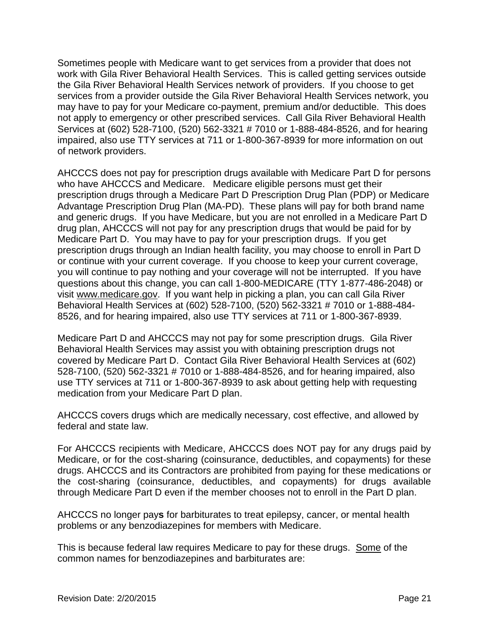Sometimes people with Medicare want to get services from a provider that does not work with Gila River Behavioral Health Services. This is called getting services outside the Gila River Behavioral Health Services network of providers. If you choose to get services from a provider outside the Gila River Behavioral Health Services network, you may have to pay for your Medicare co-payment, premium and/or deductible. This does not apply to emergency or other prescribed services. Call Gila River Behavioral Health Services at (602) 528-7100, (520) 562-3321 # 7010 or 1-888-484-8526, and for hearing impaired, also use TTY services at 711 or 1-800-367-8939 for more information on out of network providers.

AHCCCS does not pay for prescription drugs available with Medicare Part D for persons who have AHCCCS and Medicare. Medicare eligible persons must get their prescription drugs through a Medicare Part D Prescription Drug Plan (PDP) or Medicare Advantage Prescription Drug Plan (MA-PD). These plans will pay for both brand name and generic drugs. If you have Medicare, but you are not enrolled in a Medicare Part D drug plan, AHCCCS will not pay for any prescription drugs that would be paid for by Medicare Part D. You may have to pay for your prescription drugs. If you get prescription drugs through an Indian health facility, you may choose to enroll in Part D or continue with your current coverage. If you choose to keep your current coverage, you will continue to pay nothing and your coverage will not be interrupted. If you have questions about this change, you can call 1-800-MEDICARE (TTY 1-877-486-2048) or visit [www.medicare.gov.](http://www.medicare.gov/) If you want help in picking a plan, you can call Gila River Behavioral Health Services at (602) 528-7100, (520) 562-3321 # 7010 or 1-888-484- 8526, and for hearing impaired, also use TTY services at 711 or 1-800-367-8939.

Medicare Part D and AHCCCS may not pay for some prescription drugs. Gila River Behavioral Health Services may assist you with obtaining prescription drugs not covered by Medicare Part D. Contact Gila River Behavioral Health Services at (602) 528-7100, (520) 562-3321 # 7010 or 1-888-484-8526, and for hearing impaired, also use TTY services at 711 or 1-800-367-8939 to ask about getting help with requesting medication from your Medicare Part D plan.

AHCCCS covers drugs which are medically necessary, cost effective, and allowed by federal and state law.

For AHCCCS recipients with Medicare, AHCCCS does NOT pay for any drugs paid by Medicare, or for the cost-sharing (coinsurance, deductibles, and copayments) for these drugs. AHCCCS and its Contractors are prohibited from paying for these medications or the cost-sharing (coinsurance, deductibles, and copayments) for drugs available through Medicare Part D even if the member chooses not to enroll in the Part D plan.

AHCCCS no longer pay**s** for barbiturates to treat epilepsy, cancer, or mental health problems or any benzodiazepines for members with Medicare.

This is because federal law requires Medicare to pay for these drugs. Some of the common names for benzodiazepines and barbiturates are: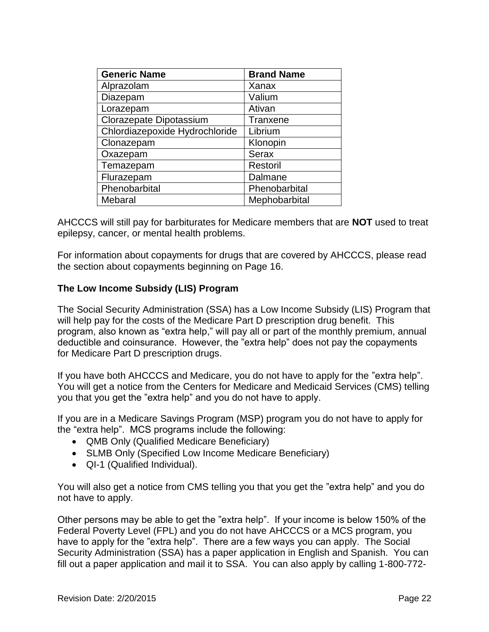| <b>Generic Name</b>            | <b>Brand Name</b> |
|--------------------------------|-------------------|
| Alprazolam                     | Xanax             |
| Diazepam                       | Valium            |
| Lorazepam                      | Ativan            |
| Clorazepate Dipotassium        | Tranxene          |
| Chlordiazepoxide Hydrochloride | Librium           |
| Clonazepam                     | Klonopin          |
| Oxazepam                       | <b>Serax</b>      |
| Temazepam                      | Restoril          |
| Flurazepam                     | Dalmane           |
| Phenobarbital                  | Phenobarbital     |
| Mebaral                        | Mephobarbital     |

AHCCCS will still pay for barbiturates for Medicare members that are **NOT** used to treat epilepsy, cancer, or mental health problems.

For information about copayments for drugs that are covered by AHCCCS, please read the section about copayments beginning on Page 16.

### <span id="page-21-0"></span>**The Low Income Subsidy (LIS) Program**

The Social Security Administration (SSA) has a Low Income Subsidy (LIS) Program that will help pay for the costs of the Medicare Part D prescription drug benefit. This program, also known as "extra help," will pay all or part of the monthly premium, annual deductible and coinsurance. However, the "extra help" does not pay the copayments for Medicare Part D prescription drugs.

If you have both AHCCCS and Medicare, you do not have to apply for the "extra help". You will get a notice from the Centers for Medicare and Medicaid Services (CMS) telling you that you get the "extra help" and you do not have to apply.

If you are in a Medicare Savings Program (MSP) program you do not have to apply for the "extra help". MCS programs include the following:

- QMB Only (Qualified Medicare Beneficiary)
- SLMB Only (Specified Low Income Medicare Beneficiary)
- QI-1 (Qualified Individual).

You will also get a notice from CMS telling you that you get the "extra help" and you do not have to apply.

Other persons may be able to get the "extra help". If your income is below 150% of the Federal Poverty Level (FPL) and you do not have AHCCCS or a MCS program, you have to apply for the "extra help". There are a few ways you can apply. The Social Security Administration (SSA) has a paper application in English and Spanish. You can fill out a paper application and mail it to SSA. You can also apply by calling 1-800-772-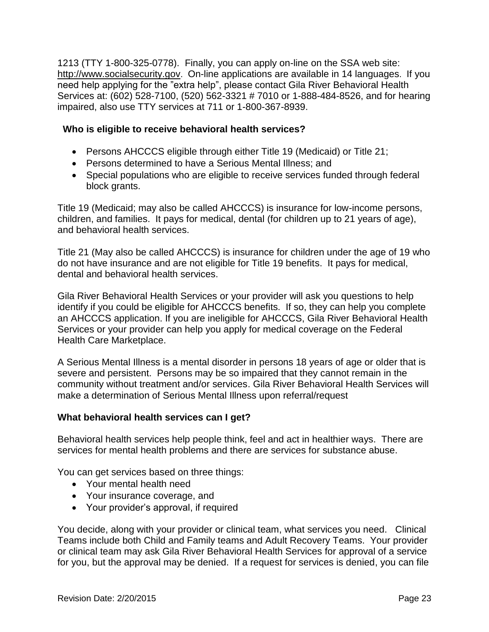1213 (TTY 1-800-325-0778). Finally, you can apply on-line on the SSA web site: [http://www.socialsecurity.gov](http://www.socialsecurity.gov/). On-line applications are available in 14 languages. If you need help applying for the "extra help", please contact Gila River Behavioral Health Services at: (602) 528-7100, (520) 562-3321 # 7010 or 1-888-484-8526, and for hearing impaired, also use TTY services at 711 or 1-800-367-8939.

### <span id="page-22-0"></span> **Who is eligible to receive behavioral health services?**

- Persons AHCCCS eligible through either Title 19 (Medicaid) or Title 21;
- Persons determined to have a Serious Mental Illness; and
- Special populations who are eligible to receive services funded through federal block grants.

Title 19 (Medicaid; may also be called AHCCCS) is insurance for low-income persons, children, and families. It pays for medical, dental (for children up to 21 years of age), and behavioral health services.

Title 21 (May also be called AHCCCS) is insurance for children under the age of 19 who do not have insurance and are not eligible for Title 19 benefits. It pays for medical, dental and behavioral health services.

Gila River Behavioral Health Services or your provider will ask you questions to help identify if you could be eligible for AHCCCS benefits. If so, they can help you complete an AHCCCS application. If you are ineligible for AHCCCS, Gila River Behavioral Health Services or your provider can help you apply for medical coverage on the Federal Health Care Marketplace.

A Serious Mental Illness is a mental disorder in persons 18 years of age or older that is severe and persistent. Persons may be so impaired that they cannot remain in the community without treatment and/or services. Gila River Behavioral Health Services will make a determination of Serious Mental Illness upon referral/request

# <span id="page-22-1"></span>**What behavioral health services can I get?**

Behavioral health services help people think, feel and act in healthier ways. There are services for mental health problems and there are services for substance abuse.

You can get services based on three things:

- Your mental health need
- Your insurance coverage, and
- Your provider's approval, if required

You decide, along with your provider or clinical team, what services you need. Clinical Teams include both Child and Family teams and Adult Recovery Teams. Your provider or clinical team may ask Gila River Behavioral Health Services for approval of a service for you, but the approval may be denied. If a request for services is denied, you can file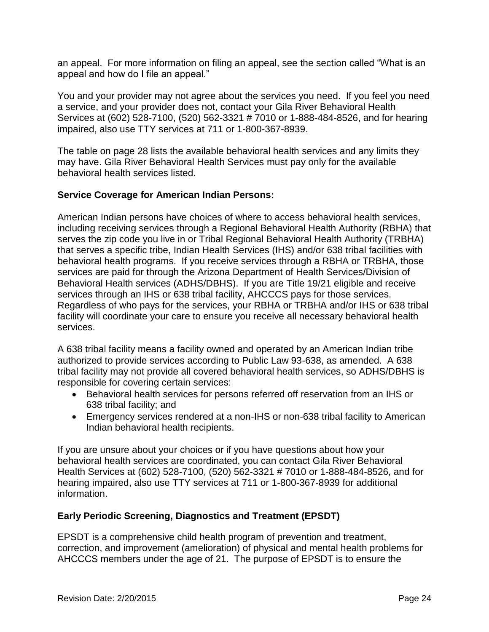an appeal. For more information on filing an appeal, see the section called "What is an appeal and how do I file an appeal."

You and your provider may not agree about the services you need. If you feel you need a service, and your provider does not, contact your Gila River Behavioral Health Services at (602) 528-7100, (520) 562-3321 # 7010 or 1-888-484-8526, and for hearing impaired, also use TTY services at 711 or 1-800-367-8939.

The table on page 28 lists the available behavioral health services and any limits they may have. Gila River Behavioral Health Services must pay only for the available behavioral health services listed.

### <span id="page-23-0"></span>**Service Coverage for American Indian Persons:**

American Indian persons have choices of where to access behavioral health services, including receiving services through a Regional Behavioral Health Authority (RBHA) that serves the zip code you live in or Tribal Regional Behavioral Health Authority (TRBHA) that serves a specific tribe, Indian Health Services (IHS) and/or 638 tribal facilities with behavioral health programs. If you receive services through a RBHA or TRBHA, those services are paid for through the Arizona Department of Health Services/Division of Behavioral Health services (ADHS/DBHS). If you are Title 19/21 eligible and receive services through an IHS or 638 tribal facility, AHCCCS pays for those services. Regardless of who pays for the services, your RBHA or TRBHA and/or IHS or 638 tribal facility will coordinate your care to ensure you receive all necessary behavioral health services.

A 638 tribal facility means a facility owned and operated by an American Indian tribe authorized to provide services according to Public Law 93-638, as amended. A 638 tribal facility may not provide all covered behavioral health services, so ADHS/DBHS is responsible for covering certain services:

- Behavioral health services for persons referred off reservation from an IHS or 638 tribal facility; and
- Emergency services rendered at a non-IHS or non-638 tribal facility to American Indian behavioral health recipients.

If you are unsure about your choices or if you have questions about how your behavioral health services are coordinated, you can contact Gila River Behavioral Health Services at (602) 528-7100, (520) 562-3321 # 7010 or 1-888-484-8526, and for hearing impaired, also use TTY services at 711 or 1-800-367-8939 for additional information.

# <span id="page-23-1"></span>**Early Periodic Screening, Diagnostics and Treatment (EPSDT)**

EPSDT is a comprehensive child health program of prevention and treatment, correction, and improvement (amelioration) of physical and mental health problems for AHCCCS members under the age of 21. The purpose of EPSDT is to ensure the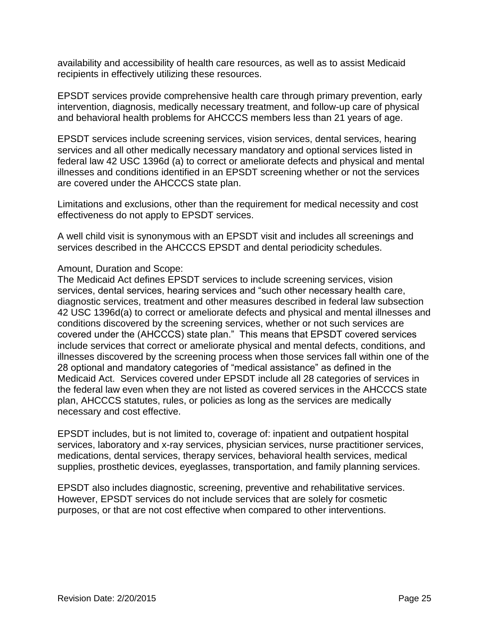availability and accessibility of health care resources, as well as to assist Medicaid recipients in effectively utilizing these resources.

EPSDT services provide comprehensive health care through primary prevention, early intervention, diagnosis, medically necessary treatment, and follow-up care of physical and behavioral health problems for AHCCCS members less than 21 years of age.

EPSDT services include screening services, vision services, dental services, hearing services and all other medically necessary mandatory and optional services listed in federal law 42 USC 1396d (a) to correct or ameliorate defects and physical and mental illnesses and conditions identified in an EPSDT screening whether or not the services are covered under the AHCCCS state plan.

Limitations and exclusions, other than the requirement for medical necessity and cost effectiveness do not apply to EPSDT services.

A well child visit is synonymous with an EPSDT visit and includes all screenings and services described in the AHCCCS EPSDT and dental periodicity schedules.

#### Amount, Duration and Scope:

The Medicaid Act defines EPSDT services to include screening services, vision services, dental services, hearing services and "such other necessary health care, diagnostic services, treatment and other measures described in federal law subsection 42 USC 1396d(a) to correct or ameliorate defects and physical and mental illnesses and conditions discovered by the screening services, whether or not such services are covered under the (AHCCCS) state plan." This means that EPSDT covered services include services that correct or ameliorate physical and mental defects, conditions, and illnesses discovered by the screening process when those services fall within one of the 28 optional and mandatory categories of "medical assistance" as defined in the Medicaid Act. Services covered under EPSDT include all 28 categories of services in the federal law even when they are not listed as covered services in the AHCCCS state plan, AHCCCS statutes, rules, or policies as long as the services are medically necessary and cost effective.

EPSDT includes, but is not limited to, coverage of: inpatient and outpatient hospital services, laboratory and x-ray services, physician services, nurse practitioner services, medications, dental services, therapy services, behavioral health services, medical supplies, prosthetic devices, eyeglasses, transportation, and family planning services.

<span id="page-24-0"></span>EPSDT also includes diagnostic, screening, preventive and rehabilitative services. However, EPSDT services do not include services that are solely for cosmetic purposes, or that are not cost effective when compared to other interventions.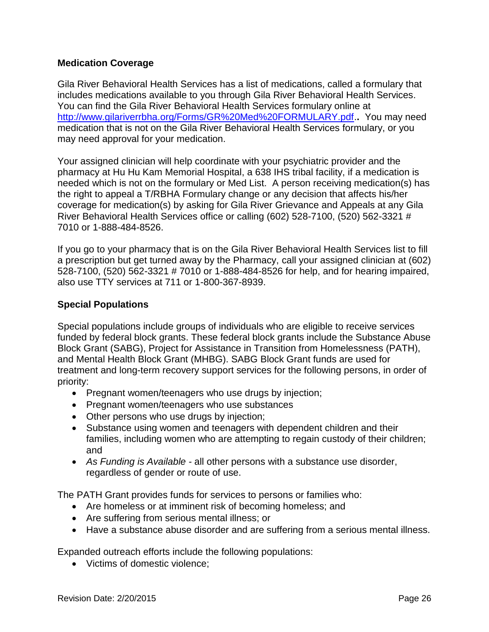### **Medication Coverage**

Gila River Behavioral Health Services has a list of medications, called a formulary that includes medications available to you through Gila River Behavioral Health Services. You can find the Gila River Behavioral Health Services formulary online at [http://www.gilariverrbha.org/Forms/GR%20Med%20FORMULARY.pdf.](http://www.gilariverrbha.org/Forms/GR%20Med%20FORMULARY.pdf)**.** You may need medication that is not on the Gila River Behavioral Health Services formulary, or you may need approval for your medication.

Your assigned clinician will help coordinate with your psychiatric provider and the pharmacy at Hu Hu Kam Memorial Hospital, a 638 IHS tribal facility, if a medication is needed which is not on the formulary or Med List. A person receiving medication(s) has the right to appeal a T/RBHA Formulary change or any decision that affects his/her coverage for medication(s) by asking for Gila River Grievance and Appeals at any Gila River Behavioral Health Services office or calling (602) 528-7100, (520) 562-3321 # 7010 or 1-888-484-8526.

If you go to your pharmacy that is on the Gila River Behavioral Health Services list to fill a prescription but get turned away by the Pharmacy, call your assigned clinician at (602) 528-7100, (520) 562-3321 # 7010 or 1-888-484-8526 for help, and for hearing impaired, also use TTY services at 711 or 1-800-367-8939.

### **Special Populations**

Special populations include groups of individuals who are eligible to receive services funded by federal block grants. These federal block grants include the Substance Abuse Block Grant (SABG), Project for Assistance in Transition from Homelessness (PATH), and Mental Health Block Grant (MHBG). SABG Block Grant funds are used for treatment and long-term recovery support services for the following persons, in order of priority:

- Pregnant women/teenagers who use drugs by injection;
- Pregnant women/teenagers who use substances
- Other persons who use drugs by injection;
- Substance using women and teenagers with dependent children and their families, including women who are attempting to regain custody of their children; and
- *As Funding is Available -* all other persons with a substance use disorder, regardless of gender or route of use.

The PATH Grant provides funds for services to persons or families who:

- Are homeless or at imminent risk of becoming homeless; and
- Are suffering from serious mental illness; or
- Have a substance abuse disorder and are suffering from a serious mental illness.

Expanded outreach efforts include the following populations:

• Victims of domestic violence: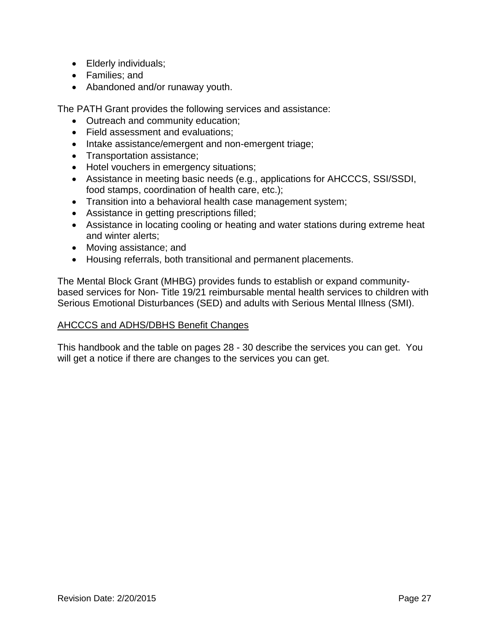- Elderly individuals;
- Families; and
- Abandoned and/or runaway youth.

The PATH Grant provides the following services and assistance:

- Outreach and community education;
- Field assessment and evaluations;
- Intake assistance/emergent and non-emergent triage;
- Transportation assistance;
- Hotel vouchers in emergency situations;
- Assistance in meeting basic needs (e.g., applications for AHCCCS, SSI/SSDI, food stamps, coordination of health care, etc.);
- Transition into a behavioral health case management system;
- Assistance in getting prescriptions filled;
- Assistance in locating cooling or heating and water stations during extreme heat and winter alerts;
- Moving assistance; and
- Housing referrals, both transitional and permanent placements.

The Mental Block Grant (MHBG) provides funds to establish or expand communitybased services for Non- Title 19/21 reimbursable mental health services to children with Serious Emotional Disturbances (SED) and adults with Serious Mental Illness (SMI).

### AHCCCS and ADHS/DBHS Benefit Changes

This handbook and the table on pages 28 - 30 describe the services you can get. You will get a notice if there are changes to the services you can get.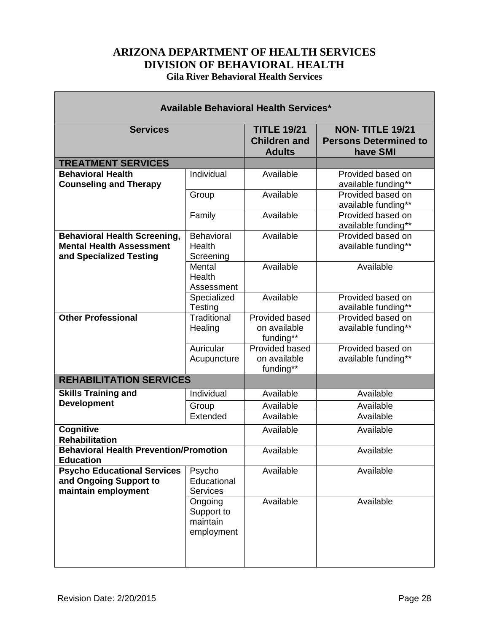# **ARIZONA DEPARTMENT OF HEALTH SERVICES DIVISION OF BEHAVIORAL HEALTH Gila River Behavioral Health Services**

<span id="page-27-0"></span>

| <b>Available Behavioral Health Services*</b>                                                      |                                                 |                                                            |                                                                    |
|---------------------------------------------------------------------------------------------------|-------------------------------------------------|------------------------------------------------------------|--------------------------------------------------------------------|
| <b>Services</b>                                                                                   |                                                 | <b>TITLE 19/21</b><br><b>Children and</b><br><b>Adults</b> | <b>NON-TITLE 19/21</b><br><b>Persons Determined to</b><br>have SMI |
| <b>TREATMENT SERVICES</b>                                                                         |                                                 |                                                            |                                                                    |
| <b>Behavioral Health</b><br><b>Counseling and Therapy</b>                                         | Individual                                      | Available                                                  | Provided based on<br>available funding**                           |
|                                                                                                   | Group                                           | Available                                                  | Provided based on<br>available funding**                           |
|                                                                                                   | Family                                          | Available                                                  | Provided based on<br>available funding**                           |
| <b>Behavioral Health Screening,</b><br><b>Mental Health Assessment</b><br>and Specialized Testing | Behavioral<br>Health<br>Screening               | Available                                                  | Provided based on<br>available funding**                           |
|                                                                                                   | Mental<br>Health<br>Assessment                  | Available                                                  | Available                                                          |
|                                                                                                   | Specialized<br><b>Testing</b>                   | Available                                                  | Provided based on<br>available funding**                           |
| <b>Other Professional</b>                                                                         | <b>Traditional</b><br>Healing                   | Provided based<br>on available<br>funding**                | Provided based on<br>available funding**                           |
|                                                                                                   | Auricular<br>Acupuncture                        | Provided based<br>on available<br>funding**                | Provided based on<br>available funding**                           |
| <b>REHABILITATION SERVICES</b>                                                                    |                                                 |                                                            |                                                                    |
| <b>Skills Training and</b>                                                                        | Individual                                      | Available                                                  | Available                                                          |
| <b>Development</b>                                                                                | Group                                           | Available                                                  | Available                                                          |
|                                                                                                   | Extended                                        | Available                                                  | Available                                                          |
| Cognitive<br><b>Rehabilitation</b>                                                                |                                                 | Available                                                  | Available                                                          |
| <b>Behavioral Health Prevention/Promotion</b><br><b>Education</b>                                 |                                                 | Available                                                  | Available                                                          |
| <b>Psycho Educational Services</b><br>and Ongoing Support to<br>maintain employment               | Psycho<br>Educational<br><b>Services</b>        | Available                                                  | Available                                                          |
|                                                                                                   | Ongoing<br>Support to<br>maintain<br>employment | Available                                                  | Available                                                          |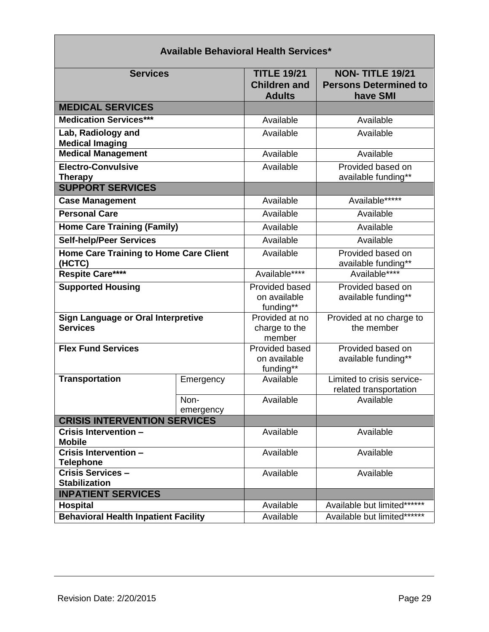| <b>Services</b>                                              |                   | <b>TITLE 19/21</b><br><b>Children and</b><br><b>Adults</b> | <b>NON-TITLE 19/21</b><br><b>Persons Determined to</b><br>have SMI |
|--------------------------------------------------------------|-------------------|------------------------------------------------------------|--------------------------------------------------------------------|
| <b>MEDICAL SERVICES</b>                                      |                   |                                                            |                                                                    |
| <b>Medication Services***</b>                                |                   | Available                                                  | Available                                                          |
| Lab, Radiology and<br><b>Medical Imaging</b>                 |                   | Available                                                  | Available                                                          |
| <b>Medical Management</b>                                    |                   | Available                                                  | Available                                                          |
| <b>Electro-Convulsive</b><br><b>Therapy</b>                  |                   | Available                                                  | Provided based on<br>available funding**                           |
| <b>SUPPORT SERVICES</b>                                      |                   |                                                            |                                                                    |
| <b>Case Management</b>                                       |                   | Available                                                  | Available*****                                                     |
| <b>Personal Care</b>                                         |                   | Available                                                  | Available                                                          |
| <b>Home Care Training (Family)</b>                           |                   | Available                                                  | Available                                                          |
| <b>Self-help/Peer Services</b>                               |                   | Available                                                  | Available                                                          |
| <b>Home Care Training to Home Care Client</b><br>(HCTC)      |                   | Available                                                  | Provided based on<br>available funding**                           |
| Respite Care****                                             |                   | Available****                                              | Available****                                                      |
| <b>Supported Housing</b>                                     |                   | Provided based<br>on available<br>funding**                | Provided based on<br>available funding**                           |
| <b>Sign Language or Oral Interpretive</b><br><b>Services</b> |                   | Provided at no<br>charge to the<br>member                  | Provided at no charge to<br>the member                             |
| <b>Flex Fund Services</b>                                    |                   | Provided based<br>on available<br>funding**                | Provided based on<br>available funding**                           |
| <b>Transportation</b>                                        | Emergency         | Available                                                  | Limited to crisis service-<br>related transportation               |
|                                                              | Non-<br>emergency | Available                                                  | Available                                                          |
| <b>CRISIS INTERVENTION SERVICES</b>                          |                   |                                                            |                                                                    |
| Crisis Intervention -<br><b>Mobile</b>                       |                   | Available                                                  | Available                                                          |
| Crisis Intervention -<br><b>Telephone</b>                    |                   | Available                                                  | Available                                                          |
| Crisis Services -<br><b>Stabilization</b>                    |                   | Available                                                  | Available                                                          |
| <b>INPATIENT SERVICES</b>                                    |                   |                                                            |                                                                    |
| <b>Hospital</b>                                              |                   | Available                                                  | Available but limited******                                        |
| <b>Behavioral Health Inpatient Facility</b>                  |                   | Available                                                  | Available but limited*******                                       |

# **Available Behavioral Health Services\***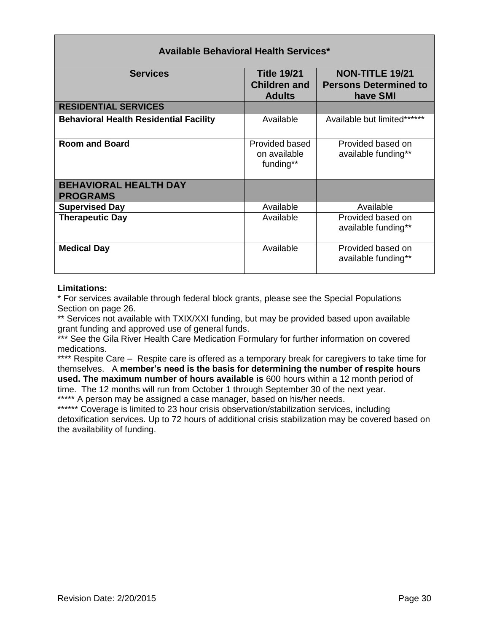| <b>Services</b>                                 | <b>Title 19/21</b><br><b>Children and</b><br><b>Adults</b> | <b>NON-TITLE 19/21</b><br><b>Persons Determined to</b><br>have SMI |
|-------------------------------------------------|------------------------------------------------------------|--------------------------------------------------------------------|
| <b>RESIDENTIAL SERVICES</b>                     |                                                            |                                                                    |
| <b>Behavioral Health Residential Facility</b>   | Available                                                  | Available but limited******                                        |
| <b>Room and Board</b>                           | Provided based<br>on available<br>funding**                | Provided based on<br>available funding**                           |
| <b>BEHAVIORAL HEALTH DAY</b><br><b>PROGRAMS</b> |                                                            |                                                                    |
| <b>Supervised Day</b>                           | Available                                                  | Available                                                          |
| <b>Therapeutic Day</b>                          | Available                                                  | Provided based on<br>available funding**                           |
| <b>Medical Day</b>                              | Available                                                  | Provided based on<br>available funding**                           |

### **Available Behavioral Health Services\***

#### **Limitations:**

\* For services available through federal block grants, please see the Special Populations Section on page 26.

\*\* Services not available with TXIX/XXI funding, but may be provided based upon available grant funding and approved use of general funds.

\*\*\* See the Gila River Health Care Medication Formulary for further information on covered medications.

\*\*\*\* Respite Care – Respite care is offered as a temporary break for caregivers to take time for themselves. A **member's need is the basis for determining the number of respite hours used. The maximum number of hours available is** 600 hours within a 12 month period of time. The 12 months will run from October 1 through September 30 of the next year.

\*\*\*\*\* A person may be assigned a case manager, based on his/her needs.

\*\*\*\*\*\* Coverage is limited to 23 hour crisis observation/stabilization services, including detoxification services. Up to 72 hours of additional crisis stabilization may be covered based on the availability of funding.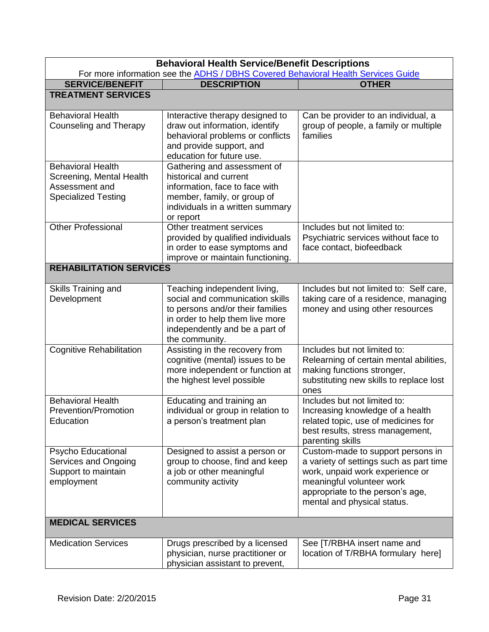<span id="page-30-0"></span>

| <b>Behavioral Health Service/Benefit Descriptions</b><br>For more information see the ADHS / DBHS Covered Behavioral Health Services Guide |                                                                                                                                                                                            |                                                                                                                                                                                                                 |  |
|--------------------------------------------------------------------------------------------------------------------------------------------|--------------------------------------------------------------------------------------------------------------------------------------------------------------------------------------------|-----------------------------------------------------------------------------------------------------------------------------------------------------------------------------------------------------------------|--|
| <b>SERVICE/BENEFIT</b>                                                                                                                     | <b>DESCRIPTION</b>                                                                                                                                                                         | <b>OTHER</b>                                                                                                                                                                                                    |  |
| <b>TREATMENT SERVICES</b>                                                                                                                  |                                                                                                                                                                                            |                                                                                                                                                                                                                 |  |
|                                                                                                                                            |                                                                                                                                                                                            |                                                                                                                                                                                                                 |  |
| <b>Behavioral Health</b><br>Counseling and Therapy                                                                                         | Interactive therapy designed to<br>draw out information, identify<br>behavioral problems or conflicts<br>and provide support, and<br>education for future use.                             | Can be provider to an individual, a<br>group of people, a family or multiple<br>families                                                                                                                        |  |
| <b>Behavioral Health</b><br>Screening, Mental Health<br>Assessment and<br><b>Specialized Testing</b>                                       | Gathering and assessment of<br>historical and current<br>information, face to face with<br>member, family, or group of<br>individuals in a written summary<br>or report                    |                                                                                                                                                                                                                 |  |
| <b>Other Professional</b>                                                                                                                  | Other treatment services<br>provided by qualified individuals<br>in order to ease symptoms and<br>improve or maintain functioning.                                                         | Includes but not limited to:<br>Psychiatric services without face to<br>face contact, biofeedback                                                                                                               |  |
| <b>REHABILITATION SERVICES</b>                                                                                                             |                                                                                                                                                                                            |                                                                                                                                                                                                                 |  |
| Skills Training and<br>Development                                                                                                         | Teaching independent living,<br>social and communication skills<br>to persons and/or their families<br>in order to help them live more<br>independently and be a part of<br>the community. | Includes but not limited to: Self care,<br>taking care of a residence, managing<br>money and using other resources                                                                                              |  |
| <b>Cognitive Rehabilitation</b>                                                                                                            | Assisting in the recovery from<br>cognitive (mental) issues to be<br>more independent or function at<br>the highest level possible                                                         | Includes but not limited to:<br>Relearning of certain mental abilities,<br>making functions stronger,<br>substituting new skills to replace lost<br>ones                                                        |  |
| <b>Behavioral Health</b><br><b>Prevention/Promotion</b><br>Education                                                                       | Educating and training an<br>individual or group in relation to<br>a person's treatment plan                                                                                               | Includes but not limited to:<br>Increasing knowledge of a health<br>related topic, use of medicines for<br>best results, stress management,<br>parenting skills                                                 |  |
| Psycho Educational<br>Services and Ongoing<br>Support to maintain<br>employment                                                            | Designed to assist a person or<br>group to choose, find and keep<br>a job or other meaningful<br>community activity                                                                        | Custom-made to support persons in<br>a variety of settings such as part time<br>work, unpaid work experience or<br>meaningful volunteer work<br>appropriate to the person's age,<br>mental and physical status. |  |
| <b>MEDICAL SERVICES</b>                                                                                                                    |                                                                                                                                                                                            |                                                                                                                                                                                                                 |  |
| <b>Medication Services</b>                                                                                                                 | Drugs prescribed by a licensed<br>physician, nurse practitioner or<br>physician assistant to prevent,                                                                                      | See [T/RBHA insert name and<br>location of T/RBHA formulary here]                                                                                                                                               |  |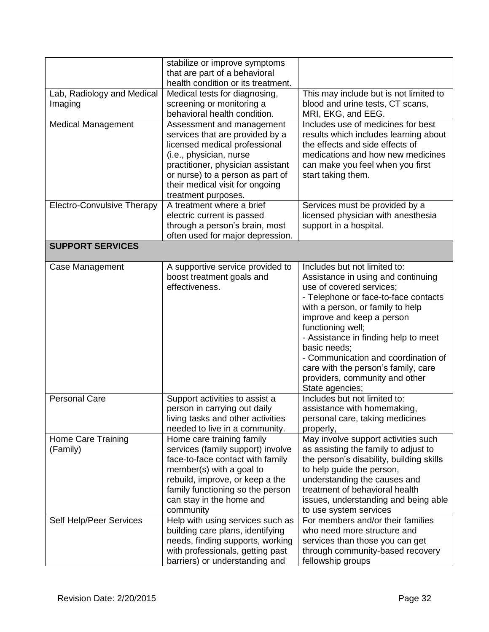|                                       | stabilize or improve symptoms<br>that are part of a behavioral<br>health condition or its treatment.                                                                                                                                                        |                                                                                                                                                                                                                                                                                                                                                                                                                         |
|---------------------------------------|-------------------------------------------------------------------------------------------------------------------------------------------------------------------------------------------------------------------------------------------------------------|-------------------------------------------------------------------------------------------------------------------------------------------------------------------------------------------------------------------------------------------------------------------------------------------------------------------------------------------------------------------------------------------------------------------------|
| Lab, Radiology and Medical<br>Imaging | Medical tests for diagnosing,<br>screening or monitoring a<br>behavioral health condition.                                                                                                                                                                  | This may include but is not limited to<br>blood and urine tests, CT scans,<br>MRI, EKG, and EEG.                                                                                                                                                                                                                                                                                                                        |
| <b>Medical Management</b>             | Assessment and management<br>services that are provided by a<br>licensed medical professional<br>(i.e., physician, nurse<br>practitioner, physician assistant<br>or nurse) to a person as part of<br>their medical visit for ongoing<br>treatment purposes. | Includes use of medicines for best<br>results which includes learning about<br>the effects and side effects of<br>medications and how new medicines<br>can make you feel when you first<br>start taking them.                                                                                                                                                                                                           |
| <b>Electro-Convulsive Therapy</b>     | A treatment where a brief<br>electric current is passed<br>through a person's brain, most<br>often used for major depression.                                                                                                                               | Services must be provided by a<br>licensed physician with anesthesia<br>support in a hospital.                                                                                                                                                                                                                                                                                                                          |
| <b>SUPPORT SERVICES</b>               |                                                                                                                                                                                                                                                             |                                                                                                                                                                                                                                                                                                                                                                                                                         |
| Case Management                       | A supportive service provided to<br>boost treatment goals and<br>effectiveness.                                                                                                                                                                             | Includes but not limited to:<br>Assistance in using and continuing<br>use of covered services;<br>- Telephone or face-to-face contacts<br>with a person, or family to help<br>improve and keep a person<br>functioning well;<br>- Assistance in finding help to meet<br>basic needs;<br>- Communication and coordination of<br>care with the person's family, care<br>providers, community and other<br>State agencies; |
| <b>Personal Care</b>                  | Support activities to assist a<br>person in carrying out daily<br>living tasks and other activities<br>needed to live in a community.                                                                                                                       | Includes but not limited to:<br>assistance with homemaking,<br>personal care, taking medicines<br>properly,                                                                                                                                                                                                                                                                                                             |
| Home Care Training<br>(Family)        | Home care training family<br>services (family support) involve<br>face-to-face contact with family<br>member(s) with a goal to<br>rebuild, improve, or keep a the<br>family functioning so the person<br>can stay in the home and<br>community              | May involve support activities such<br>as assisting the family to adjust to<br>the person's disability, building skills<br>to help guide the person,<br>understanding the causes and<br>treatment of behavioral health<br>issues, understanding and being able<br>to use system services                                                                                                                                |
| Self Help/Peer Services               | Help with using services such as<br>building care plans, identifying<br>needs, finding supports, working<br>with professionals, getting past<br>barriers) or understanding and                                                                              | For members and/or their families<br>who need more structure and<br>services than those you can get<br>through community-based recovery<br>fellowship groups                                                                                                                                                                                                                                                            |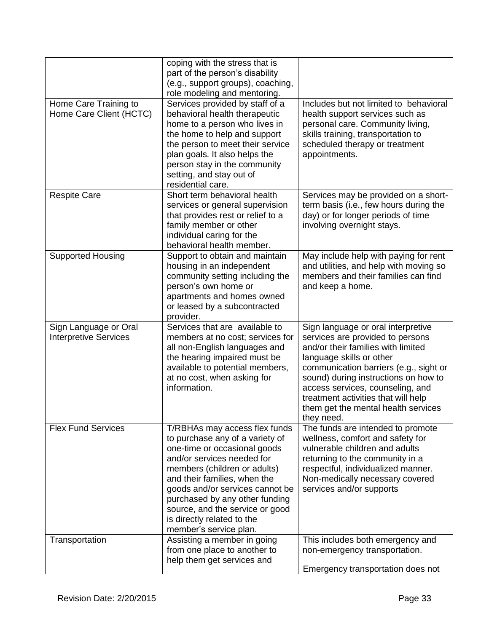|                                                       | coping with the stress that is<br>part of the person's disability<br>(e.g., support groups), coaching,<br>role modeling and mentoring.                                                                                                                                                                                                                         |                                                                                                                                                                                                                                                                                                                                                            |
|-------------------------------------------------------|----------------------------------------------------------------------------------------------------------------------------------------------------------------------------------------------------------------------------------------------------------------------------------------------------------------------------------------------------------------|------------------------------------------------------------------------------------------------------------------------------------------------------------------------------------------------------------------------------------------------------------------------------------------------------------------------------------------------------------|
| Home Care Training to<br>Home Care Client (HCTC)      | Services provided by staff of a<br>behavioral health therapeutic<br>home to a person who lives in<br>the home to help and support<br>the person to meet their service<br>plan goals. It also helps the<br>person stay in the community<br>setting, and stay out of<br>residential care.                                                                        | Includes but not limited to behavioral<br>health support services such as<br>personal care. Community living,<br>skills training, transportation to<br>scheduled therapy or treatment<br>appointments.                                                                                                                                                     |
| <b>Respite Care</b>                                   | Short term behavioral health<br>services or general supervision<br>that provides rest or relief to a<br>family member or other<br>individual caring for the<br>behavioral health member.                                                                                                                                                                       | Services may be provided on a short-<br>term basis (i.e., few hours during the<br>day) or for longer periods of time<br>involving overnight stays.                                                                                                                                                                                                         |
| <b>Supported Housing</b>                              | Support to obtain and maintain<br>housing in an independent<br>community setting including the<br>person's own home or<br>apartments and homes owned<br>or leased by a subcontracted<br>provider.                                                                                                                                                              | May include help with paying for rent<br>and utilities, and help with moving so<br>members and their families can find<br>and keep a home.                                                                                                                                                                                                                 |
| Sign Language or Oral<br><b>Interpretive Services</b> | Services that are available to<br>members at no cost; services for<br>all non-English languages and<br>the hearing impaired must be<br>available to potential members,<br>at no cost, when asking for<br>information.                                                                                                                                          | Sign language or oral interpretive<br>services are provided to persons<br>and/or their families with limited<br>language skills or other<br>communication barriers (e.g., sight or<br>sound) during instructions on how to<br>access services, counseling, and<br>treatment activities that will help<br>them get the mental health services<br>they need. |
| <b>Flex Fund Services</b>                             | T/RBHAs may access flex funds<br>to purchase any of a variety of<br>one-time or occasional goods<br>and/or services needed for<br>members (children or adults)<br>and their families, when the<br>goods and/or services cannot be<br>purchased by any other funding<br>source, and the service or good<br>is directly related to the<br>member's service plan. | The funds are intended to promote<br>wellness, comfort and safety for<br>vulnerable children and adults<br>returning to the community in a<br>respectful, individualized manner.<br>Non-medically necessary covered<br>services and/or supports                                                                                                            |
| Transportation                                        | Assisting a member in going<br>from one place to another to<br>help them get services and                                                                                                                                                                                                                                                                      | This includes both emergency and<br>non-emergency transportation.<br>Emergency transportation does not                                                                                                                                                                                                                                                     |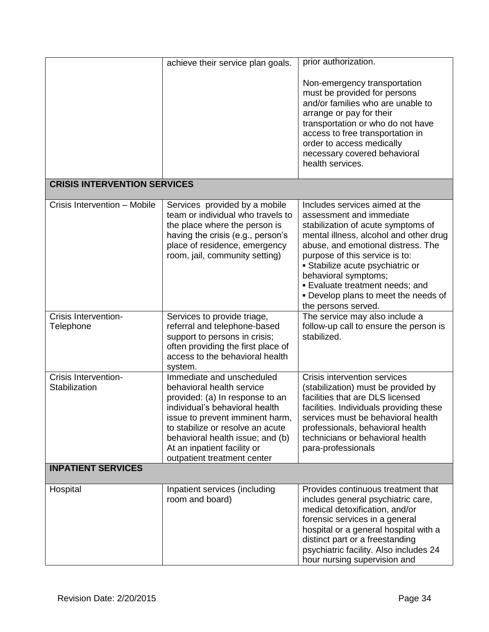|                                                                    | achieve their service plan goals.                                                                                                                                                                                                                                                                    | prior authorization.                                                                                                                                                                                                                                                                                                                                                                  |
|--------------------------------------------------------------------|------------------------------------------------------------------------------------------------------------------------------------------------------------------------------------------------------------------------------------------------------------------------------------------------------|---------------------------------------------------------------------------------------------------------------------------------------------------------------------------------------------------------------------------------------------------------------------------------------------------------------------------------------------------------------------------------------|
|                                                                    |                                                                                                                                                                                                                                                                                                      | Non-emergency transportation<br>must be provided for persons<br>and/or families who are unable to<br>arrange or pay for their<br>transportation or who do not have<br>access to free transportation in<br>order to access medically<br>necessary covered behavioral<br>health services.                                                                                               |
| <b>CRISIS INTERVENTION SERVICES</b>                                |                                                                                                                                                                                                                                                                                                      |                                                                                                                                                                                                                                                                                                                                                                                       |
| Crisis Intervention - Mobile                                       | Services provided by a mobile<br>team or individual who travels to<br>the place where the person is<br>having the crisis (e.g., person's<br>place of residence, emergency<br>room, jail, community setting)                                                                                          | Includes services aimed at the<br>assessment and immediate<br>stabilization of acute symptoms of<br>mental illness, alcohol and other drug<br>abuse, and emotional distress. The<br>purpose of this service is to:<br>• Stabilize acute psychiatric or<br>behavioral symptoms;<br><b>Evaluate treatment needs; and</b><br>. Develop plans to meet the needs of<br>the persons served. |
| Crisis Intervention-<br>Telephone                                  | Services to provide triage,<br>referral and telephone-based<br>support to persons in crisis;<br>often providing the first place of<br>access to the behavioral health<br>system.                                                                                                                     | The service may also include a<br>follow-up call to ensure the person is<br>stabilized.                                                                                                                                                                                                                                                                                               |
| Crisis Intervention-<br>Stabilization<br><b>INPATIENT SERVICES</b> | Immediate and unscheduled<br>behavioral health service<br>provided: (a) In response to an<br>individual's behavioral health<br>issue to prevent imminent harm,<br>to stabilize or resolve an acute<br>behavioral health issue; and (b)<br>At an inpatient facility or<br>outpatient treatment center | Crisis intervention services<br>(stabilization) must be provided by<br>facilities that are DLS licensed<br>facilities. Individuals providing these<br>services must be behavioral health<br>professionals, behavioral health<br>technicians or behavioral health<br>para-professionals                                                                                                |
|                                                                    |                                                                                                                                                                                                                                                                                                      |                                                                                                                                                                                                                                                                                                                                                                                       |
| Hospital                                                           | Inpatient services (including<br>room and board)                                                                                                                                                                                                                                                     | Provides continuous treatment that<br>includes general psychiatric care,<br>medical detoxification, and/or<br>forensic services in a general<br>hospital or a general hospital with a<br>distinct part or a freestanding<br>psychiatric facility. Also includes 24<br>hour nursing supervision and                                                                                    |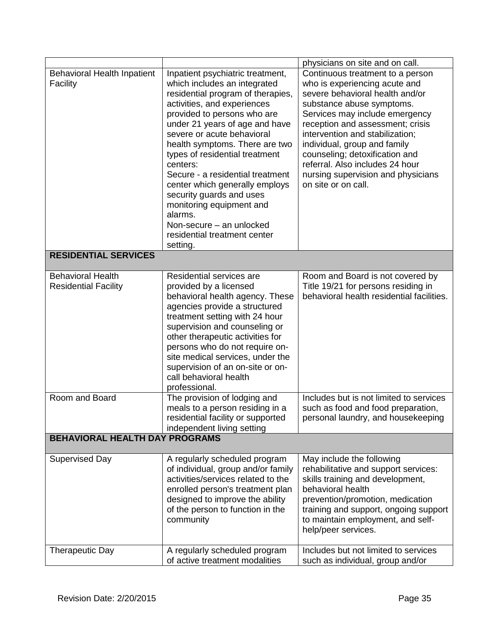|                                                         |                                                                                                                                                                                                                                                                                                                                                                                                                                                                                                                                      | physicians on site and on call.                                                                                                                                                                                                                                                                                                                                                                              |
|---------------------------------------------------------|--------------------------------------------------------------------------------------------------------------------------------------------------------------------------------------------------------------------------------------------------------------------------------------------------------------------------------------------------------------------------------------------------------------------------------------------------------------------------------------------------------------------------------------|--------------------------------------------------------------------------------------------------------------------------------------------------------------------------------------------------------------------------------------------------------------------------------------------------------------------------------------------------------------------------------------------------------------|
| Behavioral Health Inpatient<br>Facility                 | Inpatient psychiatric treatment,<br>which includes an integrated<br>residential program of therapies,<br>activities, and experiences<br>provided to persons who are<br>under 21 years of age and have<br>severe or acute behavioral<br>health symptoms. There are two<br>types of residential treatment<br>centers:<br>Secure - a residential treatment<br>center which generally employs<br>security guards and uses<br>monitoring equipment and<br>alarms.<br>Non-secure - an unlocked<br>residential treatment center<br>setting. | Continuous treatment to a person<br>who is experiencing acute and<br>severe behavioral health and/or<br>substance abuse symptoms.<br>Services may include emergency<br>reception and assessment; crisis<br>intervention and stabilization;<br>individual, group and family<br>counseling; detoxification and<br>referral. Also includes 24 hour<br>nursing supervision and physicians<br>on site or on call. |
| <b>RESIDENTIAL SERVICES</b>                             |                                                                                                                                                                                                                                                                                                                                                                                                                                                                                                                                      |                                                                                                                                                                                                                                                                                                                                                                                                              |
| <b>Behavioral Health</b><br><b>Residential Facility</b> | Residential services are<br>provided by a licensed<br>behavioral health agency. These<br>agencies provide a structured<br>treatment setting with 24 hour<br>supervision and counseling or<br>other therapeutic activities for<br>persons who do not require on-<br>site medical services, under the<br>supervision of an on-site or on-<br>call behavioral health<br>professional.                                                                                                                                                   | Room and Board is not covered by<br>Title 19/21 for persons residing in<br>behavioral health residential facilities.                                                                                                                                                                                                                                                                                         |
| Room and Board                                          | The provision of lodging and<br>meals to a person residing in a<br>residential facility or supported<br>independent living setting                                                                                                                                                                                                                                                                                                                                                                                                   | Includes but is not limited to services<br>such as food and food preparation,<br>personal laundry, and housekeeping                                                                                                                                                                                                                                                                                          |
| <b>BEHAVIORAL HEALTH DAY PROGRAMS</b>                   |                                                                                                                                                                                                                                                                                                                                                                                                                                                                                                                                      |                                                                                                                                                                                                                                                                                                                                                                                                              |
| <b>Supervised Day</b>                                   | A regularly scheduled program<br>of individual, group and/or family<br>activities/services related to the<br>enrolled person's treatment plan<br>designed to improve the ability<br>of the person to function in the<br>community                                                                                                                                                                                                                                                                                                    | May include the following<br>rehabilitative and support services:<br>skills training and development,<br>behavioral health<br>prevention/promotion, medication<br>training and support, ongoing support<br>to maintain employment, and self-<br>help/peer services.                                                                                                                                          |
| <b>Therapeutic Day</b>                                  | A regularly scheduled program<br>of active treatment modalities                                                                                                                                                                                                                                                                                                                                                                                                                                                                      | Includes but not limited to services<br>such as individual, group and/or                                                                                                                                                                                                                                                                                                                                     |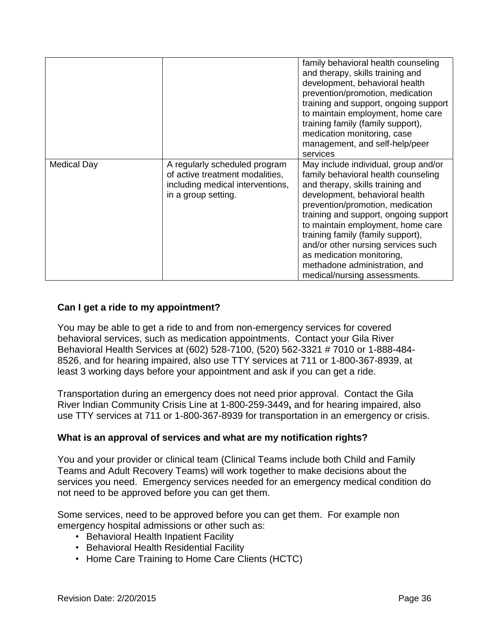|                    |                                                                                                                             | family behavioral health counseling<br>and therapy, skills training and<br>development, behavioral health<br>prevention/promotion, medication<br>training and support, ongoing support<br>to maintain employment, home care<br>training family (family support),<br>medication monitoring, case<br>management, and self-help/peer<br>services                                                                                                |
|--------------------|-----------------------------------------------------------------------------------------------------------------------------|----------------------------------------------------------------------------------------------------------------------------------------------------------------------------------------------------------------------------------------------------------------------------------------------------------------------------------------------------------------------------------------------------------------------------------------------|
| <b>Medical Day</b> | A regularly scheduled program<br>of active treatment modalities,<br>including medical interventions,<br>in a group setting. | May include individual, group and/or<br>family behavioral health counseling<br>and therapy, skills training and<br>development, behavioral health<br>prevention/promotion, medication<br>training and support, ongoing support<br>to maintain employment, home care<br>training family (family support),<br>and/or other nursing services such<br>as medication monitoring,<br>methadone administration, and<br>medical/nursing assessments. |

### <span id="page-35-0"></span>**Can I get a ride to my appointment?**

You may be able to get a ride to and from non-emergency services for covered behavioral services, such as medication appointments. Contact your Gila River Behavioral Health Services at (602) 528-7100, (520) 562-3321 # 7010 or 1-888-484- 8526, and for hearing impaired, also use TTY services at 711 or 1-800-367-8939, at least 3 working days before your appointment and ask if you can get a ride.

Transportation during an emergency does not need prior approval. Contact the Gila River Indian Community Crisis Line at 1-800-259-3449**,** and for hearing impaired, also use TTY services at 711 or 1-800-367-8939 for transportation in an emergency or crisis.

### <span id="page-35-1"></span>**What is an approval of services and what are my notification rights?**

You and your provider or clinical team (Clinical Teams include both Child and Family Teams and Adult Recovery Teams) will work together to make decisions about the services you need. Emergency services needed for an emergency medical condition do not need to be approved before you can get them.

Some services, need to be approved before you can get them. For example non emergency hospital admissions or other such as:

- Behavioral Health Inpatient Facility
- Behavioral Health Residential Facility
- Home Care Training to Home Care Clients (HCTC)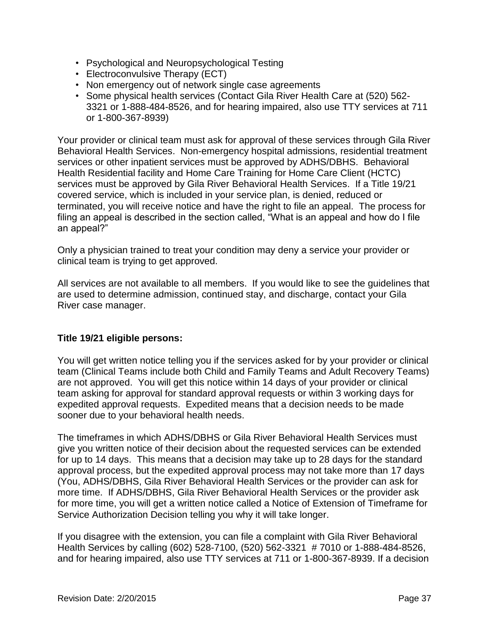- Psychological and Neuropsychological Testing
- Electroconvulsive Therapy (ECT)
- Non emergency out of network single case agreements
- Some physical health services (Contact Gila River Health Care at (520) 562- 3321 or 1-888-484-8526, and for hearing impaired, also use TTY services at 711 or 1-800-367-8939)

Your provider or clinical team must ask for approval of these services through Gila River Behavioral Health Services. Non-emergency hospital admissions, residential treatment services or other inpatient services must be approved by ADHS/DBHS. Behavioral Health Residential facility and Home Care Training for Home Care Client (HCTC) services must be approved by Gila River Behavioral Health Services. If a Title 19/21 covered service, which is included in your service plan, is denied, reduced or terminated, you will receive notice and have the right to file an appeal. The process for filing an appeal is described in the section called, "What is an appeal and how do I file an appeal?"

Only a physician trained to treat your condition may deny a service your provider or clinical team is trying to get approved.

All services are not available to all members. If you would like to see the guidelines that are used to determine admission, continued stay, and discharge, contact your Gila River case manager.

# **Title 19/21 eligible persons:**

You will get written notice telling you if the services asked for by your provider or clinical team (Clinical Teams include both Child and Family Teams and Adult Recovery Teams) are not approved. You will get this notice within 14 days of your provider or clinical team asking for approval for standard approval requests or within 3 working days for expedited approval requests. Expedited means that a decision needs to be made sooner due to your behavioral health needs.

The timeframes in which ADHS/DBHS or Gila River Behavioral Health Services must give you written notice of their decision about the requested services can be extended for up to 14 days. This means that a decision may take up to 28 days for the standard approval process, but the expedited approval process may not take more than 17 days (You, ADHS/DBHS, Gila River Behavioral Health Services or the provider can ask for more time. If ADHS/DBHS, Gila River Behavioral Health Services or the provider ask for more time, you will get a written notice called a Notice of Extension of Timeframe for Service Authorization Decision telling you why it will take longer.

If you disagree with the extension, you can file a complaint with Gila River Behavioral Health Services by calling (602) 528-7100, (520) 562-3321 # 7010 or 1-888-484-8526, and for hearing impaired, also use TTY services at 711 or 1-800-367-8939. If a decision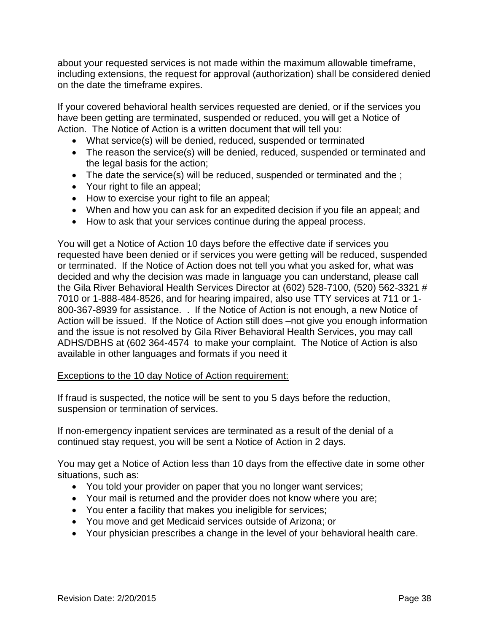about your requested services is not made within the maximum allowable timeframe, including extensions, the request for approval (authorization) shall be considered denied on the date the timeframe expires.

If your covered behavioral health services requested are denied, or if the services you have been getting are terminated, suspended or reduced, you will get a Notice of Action. The Notice of Action is a written document that will tell you:

- What service(s) will be denied, reduced, suspended or terminated
- The reason the service(s) will be denied, reduced, suspended or terminated and the legal basis for the action;
- The date the service(s) will be reduced, suspended or terminated and the;
- Your right to file an appeal;
- How to exercise your right to file an appeal;
- When and how you can ask for an expedited decision if you file an appeal; and
- How to ask that your services continue during the appeal process.

You will get a Notice of Action 10 days before the effective date if services you requested have been denied or if services you were getting will be reduced, suspended or terminated. If the Notice of Action does not tell you what you asked for, what was decided and why the decision was made in language you can understand, please call the Gila River Behavioral Health Services Director at (602) 528-7100, (520) 562-3321 # 7010 or 1-888-484-8526, and for hearing impaired, also use TTY services at 711 or 1- 800-367-8939 for assistance. . If the Notice of Action is not enough, a new Notice of Action will be issued. If the Notice of Action still does –not give you enough information and the issue is not resolved by Gila River Behavioral Health Services, you may call ADHS/DBHS at (602 364-4574 to make your complaint. The Notice of Action is also available in other languages and formats if you need it

#### Exceptions to the 10 day Notice of Action requirement:

If fraud is suspected, the notice will be sent to you 5 days before the reduction, suspension or termination of services.

If non-emergency inpatient services are terminated as a result of the denial of a continued stay request, you will be sent a Notice of Action in 2 days.

You may get a Notice of Action less than 10 days from the effective date in some other situations, such as:

- You told your provider on paper that you no longer want services;
- Your mail is returned and the provider does not know where you are;
- You enter a facility that makes you ineligible for services;
- You move and get Medicaid services outside of Arizona; or
- <span id="page-37-0"></span>Your physician prescribes a change in the level of your behavioral health care.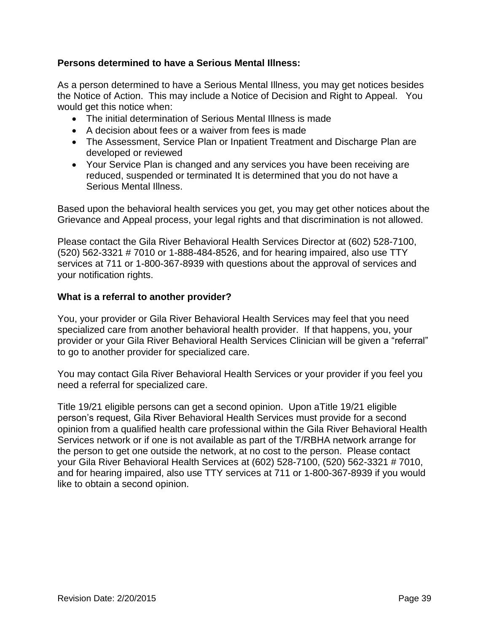### **Persons determined to have a Serious Mental Illness:**

As a person determined to have a Serious Mental Illness, you may get notices besides the Notice of Action. This may include a Notice of Decision and Right to Appeal. You would get this notice when:

- The initial determination of Serious Mental Illness is made
- A decision about fees or a waiver from fees is made
- The Assessment, Service Plan or Inpatient Treatment and Discharge Plan are developed or reviewed
- Your Service Plan is changed and any services you have been receiving are reduced, suspended or terminated It is determined that you do not have a Serious Mental Illness.

Based upon the behavioral health services you get, you may get other notices about the Grievance and Appeal process, your legal rights and that discrimination is not allowed.

Please contact the Gila River Behavioral Health Services Director at (602) 528-7100, (520) 562-3321 # 7010 or 1-888-484-8526, and for hearing impaired, also use TTY services at 711 or 1-800-367-8939 with questions about the approval of services and your notification rights.

#### <span id="page-38-0"></span>**What is a referral to another provider?**

You, your provider or Gila River Behavioral Health Services may feel that you need specialized care from another behavioral health provider. If that happens, you, your provider or your Gila River Behavioral Health Services Clinician will be given a "referral" to go to another provider for specialized care.

You may contact Gila River Behavioral Health Services or your provider if you feel you need a referral for specialized care.

Title 19/21 eligible persons can get a second opinion. Upon aTitle 19/21 eligible person's request, Gila River Behavioral Health Services must provide for a second opinion from a qualified health care professional within the Gila River Behavioral Health Services network or if one is not available as part of the T/RBHA network arrange for the person to get one outside the network, at no cost to the person. Please contact your Gila River Behavioral Health Services at (602) 528-7100, (520) 562-3321 # 7010, and for hearing impaired, also use TTY services at 711 or 1-800-367-8939 if you would like to obtain a second opinion.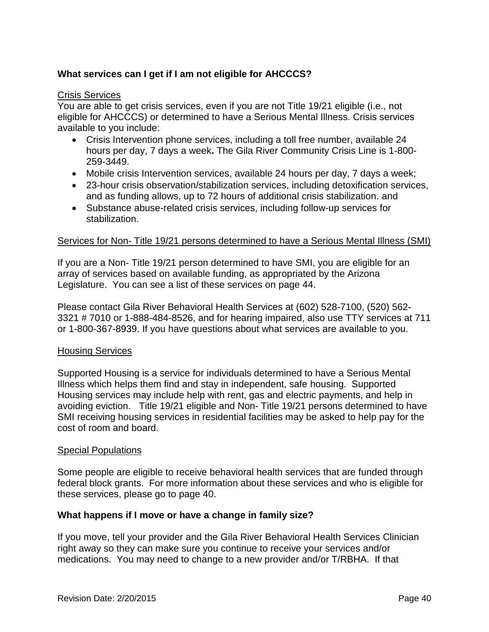# <span id="page-39-0"></span>**What services can I get if I am not eligible for AHCCCS?**

#### Crisis Services

You are able to get crisis services, even if you are not Title 19/21 eligible (i.e., not eligible for AHCCCS) or determined to have a Serious Mental Illness. Crisis services available to you include:

- Crisis Intervention phone services, including a toll free number, available 24 hours per day, 7 days a week**.** The Gila River Community Crisis Line is 1-800- 259-3449.
- Mobile crisis Intervention services, available 24 hours per day, 7 days a week;
- 23-hour crisis observation/stabilization services, including detoxification services, and as funding allows, up to 72 hours of additional crisis stabilization. and
- Substance abuse-related crisis services, including follow-up services for stabilization.

#### Services for Non- Title 19/21 persons determined to have a Serious Mental Illness (SMI)

If you are a Non- Title 19/21 person determined to have SMI, you are eligible for an array of services based on available funding, as appropriated by the Arizona Legislature. You can see a list of these services on page 44.

Please contact Gila River Behavioral Health Services at (602) 528-7100, (520) 562- 3321 # 7010 or 1-888-484-8526, and for hearing impaired, also use TTY services at 711 or 1-800-367-8939. If you have questions about what services are available to you.

#### Housing Services

Supported Housing is a service for individuals determined to have a Serious Mental Illness which helps them find and stay in independent, safe housing. Supported Housing services may include help with rent, gas and electric payments, and help in avoiding eviction. Title 19/21 eligible and Non- Title 19/21 persons determined to have SMI receiving housing services in residential facilities may be asked to help pay for the cost of room and board.

#### Special Populations

Some people are eligible to receive behavioral health services that are funded through federal block grants. For more information about these services and who is eligible for these services, please go to page 40.

#### <span id="page-39-1"></span>**What happens if I move or have a change in family size?**

If you move, tell your provider and the Gila River Behavioral Health Services Clinician right away so they can make sure you continue to receive your services and/or medications. You may need to change to a new provider and/or T/RBHA. If that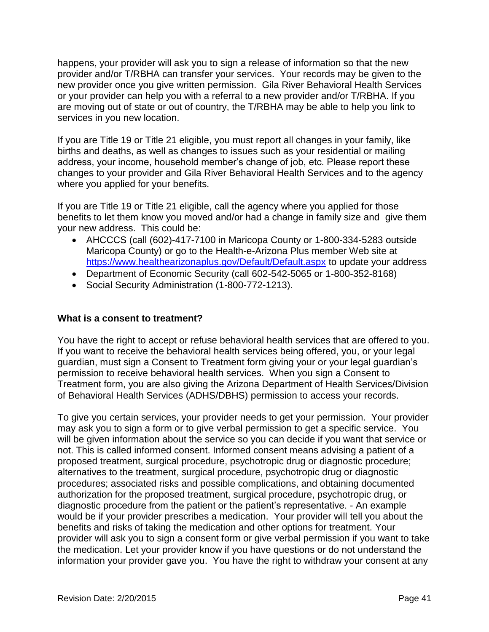happens, your provider will ask you to sign a release of information so that the new provider and/or T/RBHA can transfer your services. Your records may be given to the new provider once you give written permission. Gila River Behavioral Health Services or your provider can help you with a referral to a new provider and/or T/RBHA. If you are moving out of state or out of country, the T/RBHA may be able to help you link to services in you new location.

If you are Title 19 or Title 21 eligible, you must report all changes in your family, like births and deaths, as well as changes to issues such as your residential or mailing address, your income, household member's change of job, etc. Please report these changes to your provider and Gila River Behavioral Health Services and to the agency where you applied for your benefits.

If you are Title 19 or Title 21 eligible, call the agency where you applied for those benefits to let them know you moved and/or had a change in family size and give them your new address. This could be:

- AHCCCS (call (602)-417-7100 in Maricopa County or 1-800-334-5283 outside Maricopa County) or go to the Health-e-Arizona Plus member Web site at <https://www.healthearizonaplus.gov/Default/Default.aspx> to update your address
- Department of Economic Security (call 602-542-5065 or 1-800-352-8168)
- Social Security Administration (1-800-772-1213).

### <span id="page-40-0"></span>**What is a consent to treatment?**

You have the right to accept or refuse behavioral health services that are offered to you. If you want to receive the behavioral health services being offered, you, or your legal guardian, must sign a Consent to Treatment form giving your or your legal guardian's permission to receive behavioral health services. When you sign a Consent to Treatment form, you are also giving the Arizona Department of Health Services/Division of Behavioral Health Services (ADHS/DBHS) permission to access your records.

To give you certain services, your provider needs to get your permission. Your provider may ask you to sign a form or to give verbal permission to get a specific service. You will be given information about the service so you can decide if you want that service or not. This is called informed consent. Informed consent means advising a patient of a proposed treatment, surgical procedure, psychotropic drug or diagnostic procedure; alternatives to the treatment, surgical procedure, psychotropic drug or diagnostic procedures; associated risks and possible complications, and obtaining documented authorization for the proposed treatment, surgical procedure, psychotropic drug, or diagnostic procedure from the patient or the patient's representative. - An example would be if your provider prescribes a medication. Your provider will tell you about the benefits and risks of taking the medication and other options for treatment. Your provider will ask you to sign a consent form or give verbal permission if you want to take the medication. Let your provider know if you have questions or do not understand the information your provider gave you. You have the right to withdraw your consent at any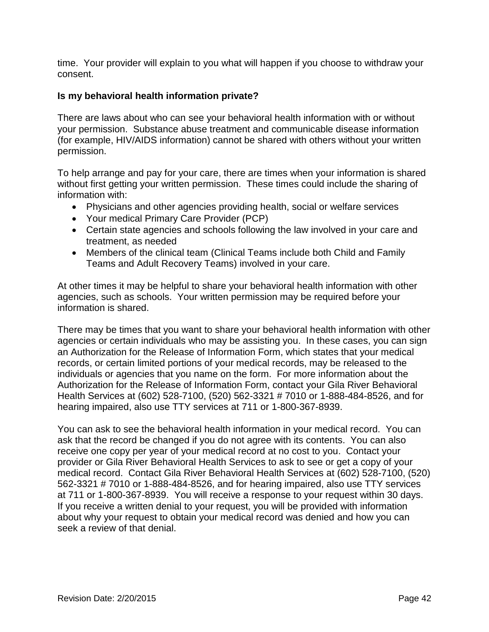time. Your provider will explain to you what will happen if you choose to withdraw your consent.

### <span id="page-41-0"></span>**Is my behavioral health information private?**

There are laws about who can see your behavioral health information with or without your permission. Substance abuse treatment and communicable disease information (for example, HIV/AIDS information) cannot be shared with others without your written permission.

To help arrange and pay for your care, there are times when your information is shared without first getting your written permission. These times could include the sharing of information with:

- Physicians and other agencies providing health, social or welfare services
- Your medical Primary Care Provider (PCP)
- Certain state agencies and schools following the law involved in your care and treatment, as needed
- Members of the clinical team (Clinical Teams include both Child and Family Teams and Adult Recovery Teams) involved in your care.

At other times it may be helpful to share your behavioral health information with other agencies, such as schools. Your written permission may be required before your information is shared.

There may be times that you want to share your behavioral health information with other agencies or certain individuals who may be assisting you. In these cases, you can sign an Authorization for the Release of Information Form, which states that your medical records, or certain limited portions of your medical records, may be released to the individuals or agencies that you name on the form. For more information about the Authorization for the Release of Information Form, contact your Gila River Behavioral Health Services at (602) 528-7100, (520) 562-3321 # 7010 or 1-888-484-8526, and for hearing impaired, also use TTY services at 711 or 1-800-367-8939.

You can ask to see the behavioral health information in your medical record. You can ask that the record be changed if you do not agree with its contents. You can also receive one copy per year of your medical record at no cost to you. Contact your provider or Gila River Behavioral Health Services to ask to see or get a copy of your medical record. Contact Gila River Behavioral Health Services at (602) 528-7100, (520) 562-3321 # 7010 or 1-888-484-8526, and for hearing impaired, also use TTY services at 711 or 1-800-367-8939. You will receive a response to your request within 30 days. If you receive a written denial to your request, you will be provided with information about why your request to obtain your medical record was denied and how you can seek a review of that denial.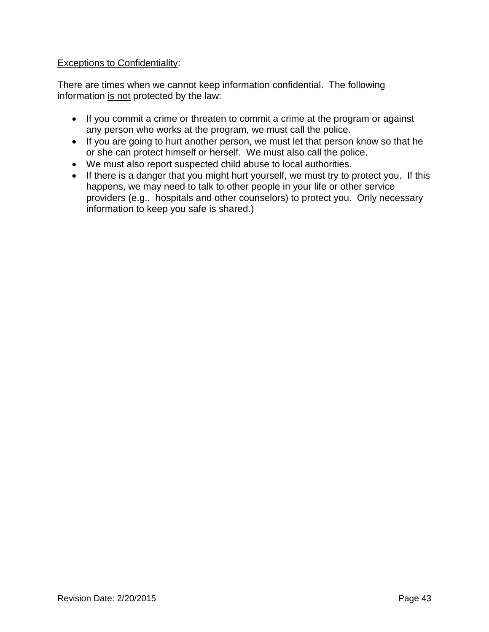### Exceptions to Confidentiality:

There are times when we cannot keep information confidential. The following information is not protected by the law:

- If you commit a crime or threaten to commit a crime at the program or against any person who works at the program, we must call the police.
- If you are going to hurt another person, we must let that person know so that he or she can protect himself or herself. We must also call the police.
- We must also report suspected child abuse to local authorities.
- If there is a danger that you might hurt yourself, we must try to protect you. If this happens, we may need to talk to other people in your life or other service providers (e.g., hospitals and other counselors) to protect you. Only necessary information to keep you safe is shared.)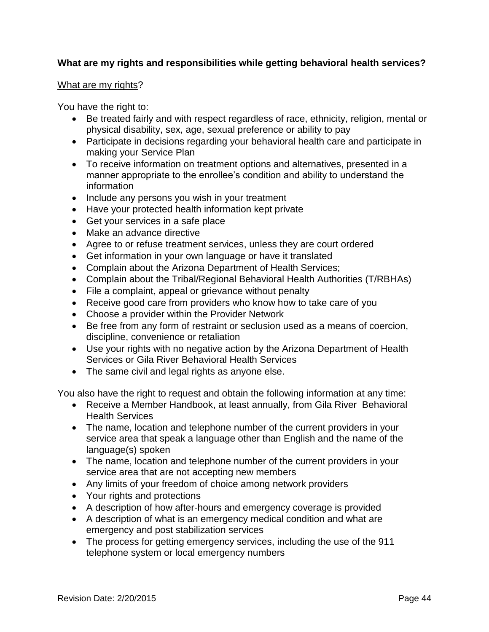# <span id="page-43-0"></span>**What are my rights and responsibilities while getting behavioral health services?**

#### What are my rights?

You have the right to:

- Be treated fairly and with respect regardless of race, ethnicity, religion, mental or physical disability, sex, age, sexual preference or ability to pay
- Participate in decisions regarding your behavioral health care and participate in making your Service Plan
- To receive information on treatment options and alternatives, presented in a manner appropriate to the enrollee's condition and ability to understand the information
- Include any persons you wish in your treatment
- Have your protected health information kept private
- Get your services in a safe place
- Make an advance directive
- Agree to or refuse treatment services, unless they are court ordered
- Get information in your own language or have it translated
- Complain about the Arizona Department of Health Services;
- Complain about the Tribal/Regional Behavioral Health Authorities (T/RBHAs)
- File a complaint, appeal or grievance without penalty
- Receive good care from providers who know how to take care of you
- Choose a provider within the Provider Network
- Be free from any form of restraint or seclusion used as a means of coercion, discipline, convenience or retaliation
- Use your rights with no negative action by the Arizona Department of Health Services or Gila River Behavioral Health Services
- The same civil and legal rights as anyone else.

You also have the right to request and obtain the following information at any time:

- Receive a Member Handbook, at least annually, from Gila River Behavioral Health Services
- The name, location and telephone number of the current providers in your service area that speak a language other than English and the name of the language(s) spoken
- The name, location and telephone number of the current providers in your service area that are not accepting new members
- Any limits of your freedom of choice among network providers
- Your rights and protections
- A description of how after-hours and emergency coverage is provided
- A description of what is an emergency medical condition and what are emergency and post stabilization services
- The process for getting emergency services, including the use of the 911 telephone system or local emergency numbers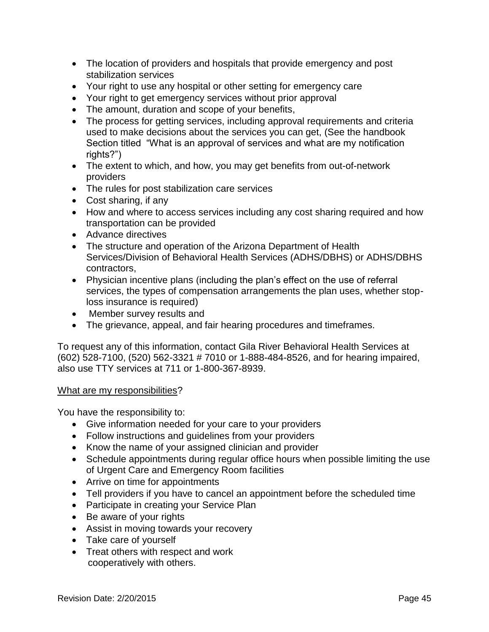- The location of providers and hospitals that provide emergency and post stabilization services
- Your right to use any hospital or other setting for emergency care
- Your right to get emergency services without prior approval
- The amount, duration and scope of your benefits,
- The process for getting services, including approval requirements and criteria used to make decisions about the services you can get, (See the handbook Section titled "What is an approval of services and what are my notification rights?")
- The extent to which, and how, you may get benefits from out-of-network providers
- The rules for post stabilization care services
- Cost sharing, if any
- How and where to access services including any cost sharing required and how transportation can be provided
- Advance directives
- The structure and operation of the Arizona Department of Health Services/Division of Behavioral Health Services (ADHS/DBHS) or ADHS/DBHS contractors,
- Physician incentive plans (including the plan's effect on the use of referral services, the types of compensation arrangements the plan uses, whether stoploss insurance is required)
- Member survey results and
- The grievance, appeal, and fair hearing procedures and timeframes.

To request any of this information, contact Gila River Behavioral Health Services at (602) 528-7100, (520) 562-3321 # 7010 or 1-888-484-8526, and for hearing impaired, also use TTY services at 711 or 1-800-367-8939.

#### What are my responsibilities?

You have the responsibility to:

- Give information needed for your care to your providers
- Follow instructions and guidelines from your providers
- Know the name of your assigned clinician and provider
- Schedule appointments during regular office hours when possible limiting the use of Urgent Care and Emergency Room facilities
- Arrive on time for appointments
- Tell providers if you have to cancel an appointment before the scheduled time
- Participate in creating your Service Plan
- Be aware of your rights
- Assist in moving towards your recovery
- Take care of yourself
- Treat others with respect and work cooperatively with others.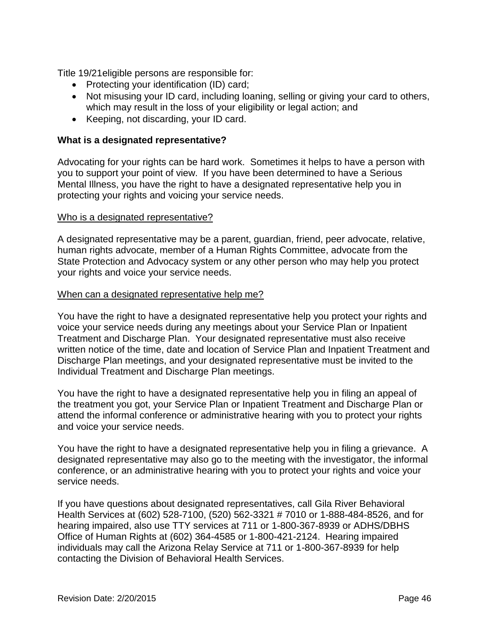Title 19/21eligible persons are responsible for:

- Protecting your identification (ID) card;
- Not misusing your ID card, including loaning, selling or giving your card to others, which may result in the loss of your eligibility or legal action; and
- Keeping, not discarding, your ID card.

### <span id="page-45-0"></span>**What is a designated representative?**

Advocating for your rights can be hard work. Sometimes it helps to have a person with you to support your point of view. If you have been determined to have a Serious Mental Illness, you have the right to have a designated representative help you in protecting your rights and voicing your service needs.

#### Who is a designated representative?

A designated representative may be a parent, guardian, friend, peer advocate, relative, human rights advocate, member of a Human Rights Committee, advocate from the State Protection and Advocacy system or any other person who may help you protect your rights and voice your service needs.

#### When can a designated representative help me?

You have the right to have a designated representative help you protect your rights and voice your service needs during any meetings about your Service Plan or Inpatient Treatment and Discharge Plan. Your designated representative must also receive written notice of the time, date and location of Service Plan and Inpatient Treatment and Discharge Plan meetings, and your designated representative must be invited to the Individual Treatment and Discharge Plan meetings.

You have the right to have a designated representative help you in filing an appeal of the treatment you got, your Service Plan or Inpatient Treatment and Discharge Plan or attend the informal conference or administrative hearing with you to protect your rights and voice your service needs.

You have the right to have a designated representative help you in filing a grievance. A designated representative may also go to the meeting with the investigator, the informal conference, or an administrative hearing with you to protect your rights and voice your service needs.

If you have questions about designated representatives, call Gila River Behavioral Health Services at (602) 528-7100, (520) 562-3321 # 7010 or 1-888-484-8526, and for hearing impaired, also use TTY services at 711 or 1-800-367-8939 or ADHS/DBHS Office of Human Rights at (602) 364-4585 or 1-800-421-2124. Hearing impaired individuals may call the Arizona Relay Service at 711 or 1-800-367-8939 for help contacting the Division of Behavioral Health Services.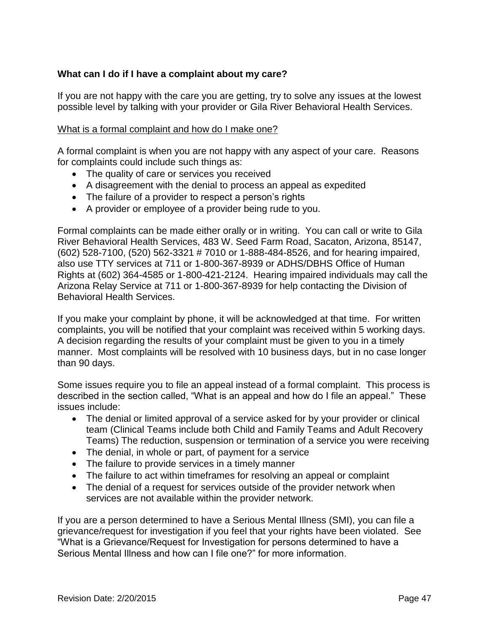# <span id="page-46-0"></span>**What can I do if I have a complaint about my care?**

If you are not happy with the care you are getting, try to solve any issues at the lowest possible level by talking with your provider or Gila River Behavioral Health Services.

### What is a formal complaint and how do I make one?

A formal complaint is when you are not happy with any aspect of your care. Reasons for complaints could include such things as:

- The quality of care or services you received
- A disagreement with the denial to process an appeal as expedited
- The failure of a provider to respect a person's rights
- A provider or employee of a provider being rude to you.

Formal complaints can be made either orally or in writing. You can call or write to Gila River Behavioral Health Services, 483 W. Seed Farm Road, Sacaton, Arizona, 85147, (602) 528-7100, (520) 562-3321 # 7010 or 1-888-484-8526, and for hearing impaired, also use TTY services at 711 or 1-800-367-8939 or ADHS/DBHS Office of Human Rights at (602) 364-4585 or 1-800-421-2124. Hearing impaired individuals may call the Arizona Relay Service at 711 or 1-800-367-8939 for help contacting the Division of Behavioral Health Services.

If you make your complaint by phone, it will be acknowledged at that time. For written complaints, you will be notified that your complaint was received within 5 working days. A decision regarding the results of your complaint must be given to you in a timely manner. Most complaints will be resolved with 10 business days, but in no case longer than 90 days.

Some issues require you to file an appeal instead of a formal complaint. This process is described in the section called, "What is an appeal and how do I file an appeal." These issues include:

- The denial or limited approval of a service asked for by your provider or clinical team (Clinical Teams include both Child and Family Teams and Adult Recovery Teams) The reduction, suspension or termination of a service you were receiving
- The denial, in whole or part, of payment for a service
- The failure to provide services in a timely manner
- The failure to act within timeframes for resolving an appeal or complaint
- The denial of a request for services outside of the provider network when services are not available within the provider network.

If you are a person determined to have a Serious Mental Illness (SMI), you can file a grievance/request for investigation if you feel that your rights have been violated. See "What is a Grievance/Request for Investigation for persons determined to have a Serious Mental Illness and how can I file one?" for more information.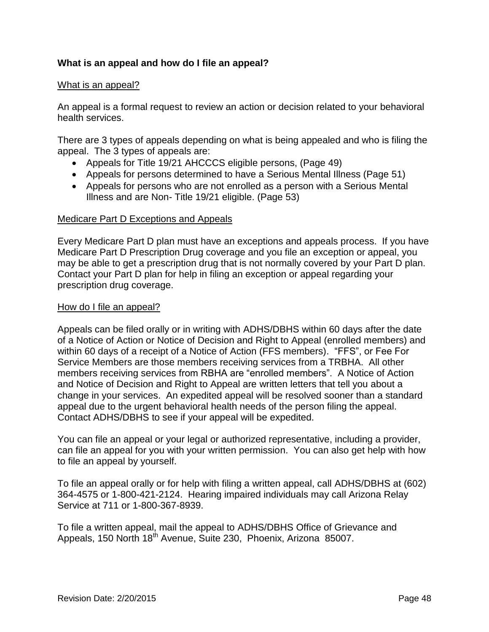### <span id="page-47-0"></span>**What is an appeal and how do I file an appeal?**

#### What is an appeal?

An appeal is a formal request to review an action or decision related to your behavioral health services.

There are 3 types of appeals depending on what is being appealed and who is filing the appeal. The 3 types of appeals are:

- Appeals for Title 19/21 AHCCCS eligible persons, (Page 49)
- Appeals for persons determined to have a Serious Mental Illness (Page 51)
- Appeals for persons who are not enrolled as a person with a Serious Mental Illness and are Non- Title 19/21 eligible. (Page 53)

#### Medicare Part D Exceptions and Appeals

Every Medicare Part D plan must have an exceptions and appeals process. If you have Medicare Part D Prescription Drug coverage and you file an exception or appeal, you may be able to get a prescription drug that is not normally covered by your Part D plan. Contact your Part D plan for help in filing an exception or appeal regarding your prescription drug coverage.

#### How do I file an appeal?

Appeals can be filed orally or in writing with ADHS/DBHS within 60 days after the date of a Notice of Action or Notice of Decision and Right to Appeal (enrolled members) and within 60 days of a receipt of a Notice of Action (FFS members). "FFS", or Fee For Service Members are those members receiving services from a TRBHA. All other members receiving services from RBHA are "enrolled members". A Notice of Action and Notice of Decision and Right to Appeal are written letters that tell you about a change in your services. An expedited appeal will be resolved sooner than a standard appeal due to the urgent behavioral health needs of the person filing the appeal. Contact ADHS/DBHS to see if your appeal will be expedited.

You can file an appeal or your legal or authorized representative, including a provider, can file an appeal for you with your written permission. You can also get help with how to file an appeal by yourself.

To file an appeal orally or for help with filing a written appeal, call ADHS/DBHS at (602) 364-4575 or 1-800-421-2124. Hearing impaired individuals may call Arizona Relay Service at 711 or 1-800-367-8939.

To file a written appeal, mail the appeal to ADHS/DBHS Office of Grievance and Appeals, 150 North 18<sup>th</sup> Avenue, Suite 230, Phoenix, Arizona 85007.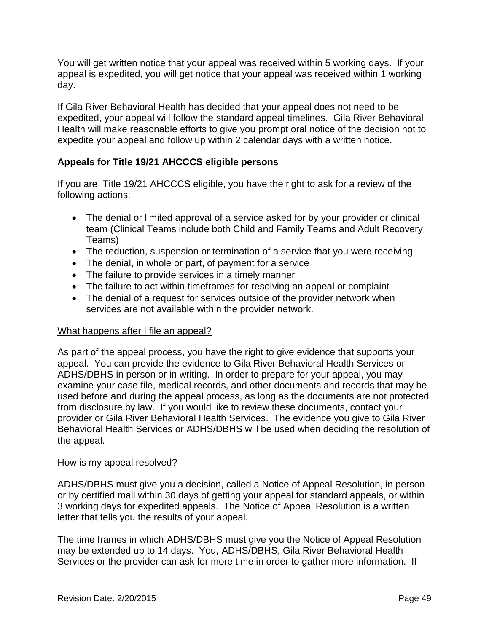You will get written notice that your appeal was received within 5 working days. If your appeal is expedited, you will get notice that your appeal was received within 1 working day.

If Gila River Behavioral Health has decided that your appeal does not need to be expedited, your appeal will follow the standard appeal timelines. Gila River Behavioral Health will make reasonable efforts to give you prompt oral notice of the decision not to expedite your appeal and follow up within 2 calendar days with a written notice.

# <span id="page-48-0"></span>**Appeals for Title 19/21 AHCCCS eligible persons**

If you are Title 19/21 AHCCCS eligible, you have the right to ask for a review of the following actions:

- The denial or limited approval of a service asked for by your provider or clinical team (Clinical Teams include both Child and Family Teams and Adult Recovery Teams)
- The reduction, suspension or termination of a service that you were receiving
- The denial, in whole or part, of payment for a service
- The failure to provide services in a timely manner
- The failure to act within timeframes for resolving an appeal or complaint
- The denial of a request for services outside of the provider network when services are not available within the provider network.

### What happens after I file an appeal?

As part of the appeal process, you have the right to give evidence that supports your appeal. You can provide the evidence to Gila River Behavioral Health Services or ADHS/DBHS in person or in writing. In order to prepare for your appeal, you may examine your case file, medical records, and other documents and records that may be used before and during the appeal process, as long as the documents are not protected from disclosure by law. If you would like to review these documents, contact your provider or Gila River Behavioral Health Services. The evidence you give to Gila River Behavioral Health Services or ADHS/DBHS will be used when deciding the resolution of the appeal.

#### How is my appeal resolved?

ADHS/DBHS must give you a decision, called a Notice of Appeal Resolution, in person or by certified mail within 30 days of getting your appeal for standard appeals, or within 3 working days for expedited appeals. The Notice of Appeal Resolution is a written letter that tells you the results of your appeal.

The time frames in which ADHS/DBHS must give you the Notice of Appeal Resolution may be extended up to 14 days. You, ADHS/DBHS, Gila River Behavioral Health Services or the provider can ask for more time in order to gather more information. If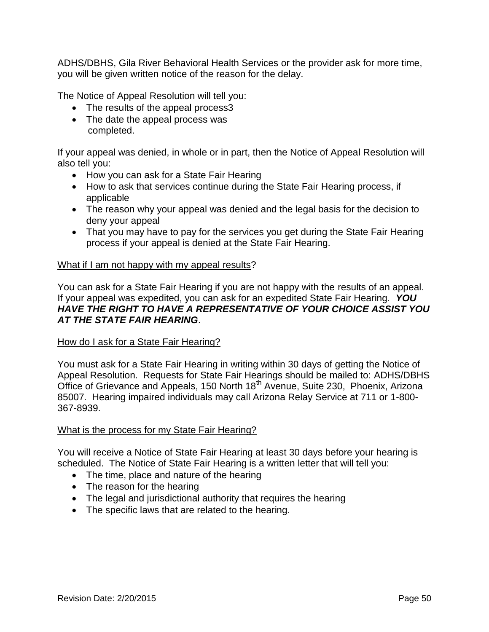ADHS/DBHS, Gila River Behavioral Health Services or the provider ask for more time, you will be given written notice of the reason for the delay.

The Notice of Appeal Resolution will tell you:

- The results of the appeal process3
- The date the appeal process was completed.

If your appeal was denied, in whole or in part, then the Notice of Appeal Resolution will also tell you:

- How you can ask for a State Fair Hearing
- How to ask that services continue during the State Fair Hearing process, if applicable
- The reason why your appeal was denied and the legal basis for the decision to deny your appeal
- That you may have to pay for the services you get during the State Fair Hearing process if your appeal is denied at the State Fair Hearing.

#### What if I am not happy with my appeal results?

You can ask for a State Fair Hearing if you are not happy with the results of an appeal. If your appeal was expedited, you can ask for an expedited State Fair Hearing. *YOU HAVE THE RIGHT TO HAVE A REPRESENTATIVE OF YOUR CHOICE ASSIST YOU AT THE STATE FAIR HEARING*.

#### How do I ask for a State Fair Hearing?

You must ask for a State Fair Hearing in writing within 30 days of getting the Notice of Appeal Resolution. Requests for State Fair Hearings should be mailed to: ADHS/DBHS Office of Grievance and Appeals, 150 North 18<sup>th</sup> Avenue, Suite 230, Phoenix, Arizona 85007. Hearing impaired individuals may call Arizona Relay Service at 711 or 1-800- 367-8939.

#### What is the process for my State Fair Hearing?

You will receive a Notice of State Fair Hearing at least 30 days before your hearing is scheduled. The Notice of State Fair Hearing is a written letter that will tell you:

- The time, place and nature of the hearing
- The reason for the hearing
- The legal and jurisdictional authority that requires the hearing
- The specific laws that are related to the hearing.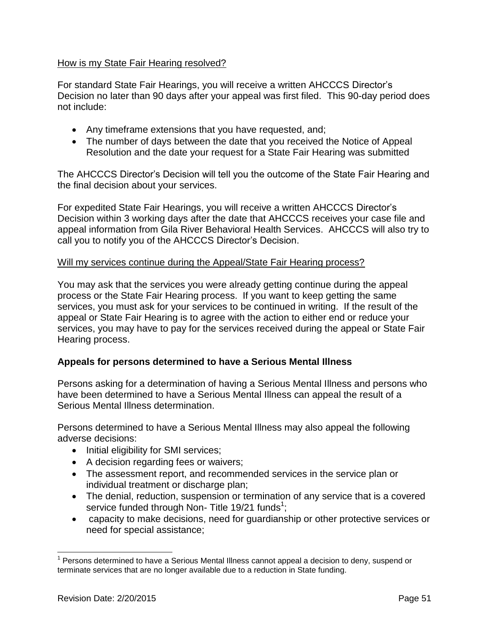### How is my State Fair Hearing resolved?

For standard State Fair Hearings, you will receive a written AHCCCS Director's Decision no later than 90 days after your appeal was first filed. This 90-day period does not include:

- Any timeframe extensions that you have requested, and;
- The number of days between the date that you received the Notice of Appeal Resolution and the date your request for a State Fair Hearing was submitted

The AHCCCS Director's Decision will tell you the outcome of the State Fair Hearing and the final decision about your services.

For expedited State Fair Hearings, you will receive a written AHCCCS Director's Decision within 3 working days after the date that AHCCCS receives your case file and appeal information from Gila River Behavioral Health Services. AHCCCS will also try to call you to notify you of the AHCCCS Director's Decision.

### Will my services continue during the Appeal/State Fair Hearing process?

You may ask that the services you were already getting continue during the appeal process or the State Fair Hearing process. If you want to keep getting the same services, you must ask for your services to be continued in writing. If the result of the appeal or State Fair Hearing is to agree with the action to either end or reduce your services, you may have to pay for the services received during the appeal or State Fair Hearing process.

# <span id="page-50-0"></span>**Appeals for persons determined to have a Serious Mental Illness**

Persons asking for a determination of having a Serious Mental Illness and persons who have been determined to have a Serious Mental Illness can appeal the result of a Serious Mental Illness determination.

Persons determined to have a Serious Mental Illness may also appeal the following adverse decisions:

- Initial eligibility for SMI services;
- A decision regarding fees or waivers;
- The assessment report, and recommended services in the service plan or individual treatment or discharge plan;
- The denial, reduction, suspension or termination of any service that is a covered service funded through Non- Title 19/21 funds<sup>1</sup>;
- capacity to make decisions, need for guardianship or other protective services or need for special assistance;

<sup>&</sup>lt;sup>1</sup> Persons determined to have a Serious Mental Illness cannot appeal a decision to deny, suspend or terminate services that are no longer available due to a reduction in State funding.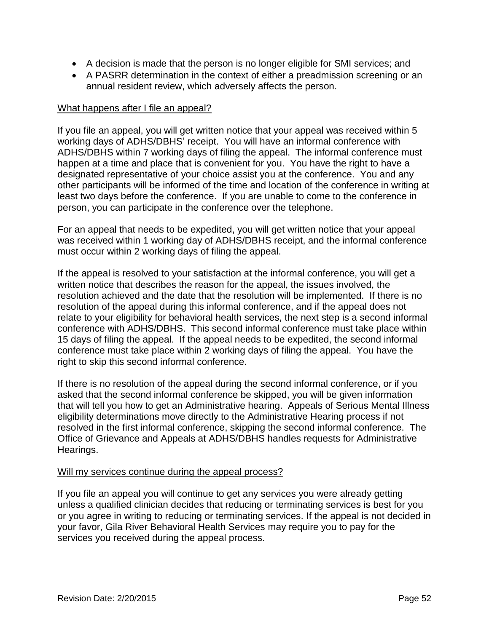- A decision is made that the person is no longer eligible for SMI services; and
- A PASRR determination in the context of either a preadmission screening or an annual resident review, which adversely affects the person.

#### What happens after I file an appeal?

If you file an appeal, you will get written notice that your appeal was received within 5 working days of ADHS/DBHS' receipt. You will have an informal conference with ADHS/DBHS within 7 working days of filing the appeal. The informal conference must happen at a time and place that is convenient for you. You have the right to have a designated representative of your choice assist you at the conference. You and any other participants will be informed of the time and location of the conference in writing at least two days before the conference. If you are unable to come to the conference in person, you can participate in the conference over the telephone.

For an appeal that needs to be expedited, you will get written notice that your appeal was received within 1 working day of ADHS/DBHS receipt, and the informal conference must occur within 2 working days of filing the appeal.

If the appeal is resolved to your satisfaction at the informal conference, you will get a written notice that describes the reason for the appeal, the issues involved, the resolution achieved and the date that the resolution will be implemented. If there is no resolution of the appeal during this informal conference, and if the appeal does not relate to your eligibility for behavioral health services, the next step is a second informal conference with ADHS/DBHS. This second informal conference must take place within 15 days of filing the appeal. If the appeal needs to be expedited, the second informal conference must take place within 2 working days of filing the appeal. You have the right to skip this second informal conference.

If there is no resolution of the appeal during the second informal conference, or if you asked that the second informal conference be skipped, you will be given information that will tell you how to get an Administrative hearing. Appeals of Serious Mental Illness eligibility determinations move directly to the Administrative Hearing process if not resolved in the first informal conference, skipping the second informal conference. The Office of Grievance and Appeals at ADHS/DBHS handles requests for Administrative Hearings.

#### Will my services continue during the appeal process?

If you file an appeal you will continue to get any services you were already getting unless a qualified clinician decides that reducing or terminating services is best for you or you agree in writing to reducing or terminating services. If the appeal is not decided in your favor, Gila River Behavioral Health Services may require you to pay for the services you received during the appeal process.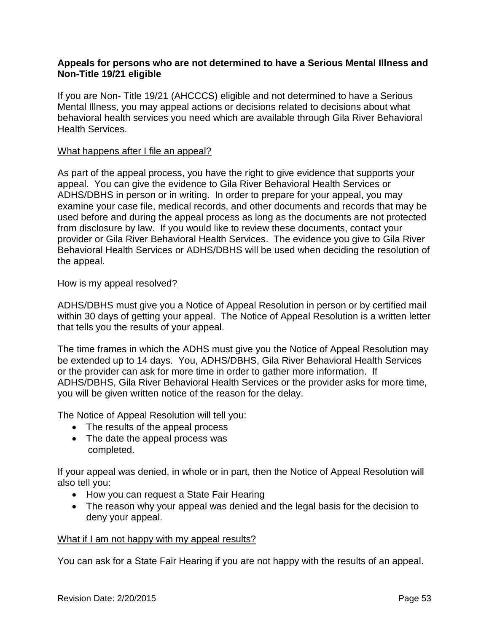### <span id="page-52-0"></span>**Appeals for persons who are not determined to have a Serious Mental Illness and Non-Title 19/21 eligible**

If you are Non- Title 19/21 (AHCCCS) eligible and not determined to have a Serious Mental Illness, you may appeal actions or decisions related to decisions about what behavioral health services you need which are available through Gila River Behavioral Health Services.

#### What happens after I file an appeal?

As part of the appeal process, you have the right to give evidence that supports your appeal. You can give the evidence to Gila River Behavioral Health Services or ADHS/DBHS in person or in writing. In order to prepare for your appeal, you may examine your case file, medical records, and other documents and records that may be used before and during the appeal process as long as the documents are not protected from disclosure by law. If you would like to review these documents, contact your provider or Gila River Behavioral Health Services. The evidence you give to Gila River Behavioral Health Services or ADHS/DBHS will be used when deciding the resolution of the appeal.

#### How is my appeal resolved?

ADHS/DBHS must give you a Notice of Appeal Resolution in person or by certified mail within 30 days of getting your appeal. The Notice of Appeal Resolution is a written letter that tells you the results of your appeal.

The time frames in which the ADHS must give you the Notice of Appeal Resolution may be extended up to 14 days. You, ADHS/DBHS, Gila River Behavioral Health Services or the provider can ask for more time in order to gather more information. If ADHS/DBHS, Gila River Behavioral Health Services or the provider asks for more time, you will be given written notice of the reason for the delay.

The Notice of Appeal Resolution will tell you:

- The results of the appeal process
- The date the appeal process was completed.

If your appeal was denied, in whole or in part, then the Notice of Appeal Resolution will also tell you:

- How you can request a State Fair Hearing
- The reason why your appeal was denied and the legal basis for the decision to deny your appeal.

#### What if I am not happy with my appeal results?

You can ask for a State Fair Hearing if you are not happy with the results of an appeal.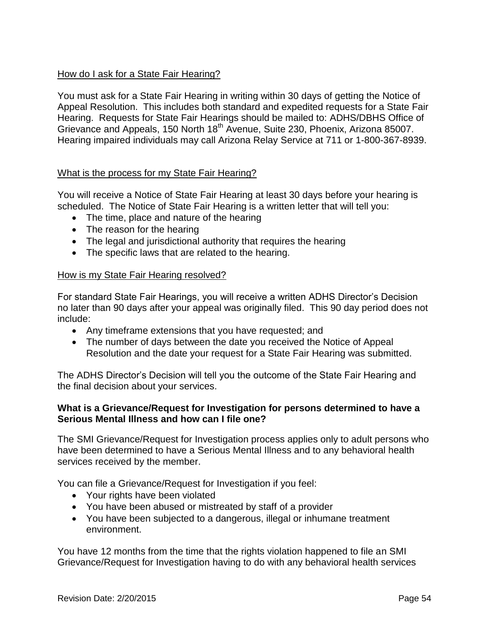### How do I ask for a State Fair Hearing?

You must ask for a State Fair Hearing in writing within 30 days of getting the Notice of Appeal Resolution. This includes both standard and expedited requests for a State Fair Hearing. Requests for State Fair Hearings should be mailed to: ADHS/DBHS Office of Grievance and Appeals, 150 North 18<sup>th</sup> Avenue, Suite 230, Phoenix, Arizona 85007. Hearing impaired individuals may call Arizona Relay Service at 711 or 1-800-367-8939.

### What is the process for my State Fair Hearing?

You will receive a Notice of State Fair Hearing at least 30 days before your hearing is scheduled. The Notice of State Fair Hearing is a written letter that will tell you:

- The time, place and nature of the hearing
- The reason for the hearing
- The legal and jurisdictional authority that requires the hearing
- The specific laws that are related to the hearing.

#### How is my State Fair Hearing resolved?

For standard State Fair Hearings, you will receive a written ADHS Director's Decision no later than 90 days after your appeal was originally filed. This 90 day period does not include:

- Any timeframe extensions that you have requested; and
- The number of days between the date you received the Notice of Appeal Resolution and the date your request for a State Fair Hearing was submitted.

The ADHS Director's Decision will tell you the outcome of the State Fair Hearing and the final decision about your services.

#### <span id="page-53-0"></span>**What is a Grievance/Request for Investigation for persons determined to have a Serious Mental Illness and how can I file one?**

The SMI Grievance/Request for Investigation process applies only to adult persons who have been determined to have a Serious Mental Illness and to any behavioral health services received by the member.

You can file a Grievance/Request for Investigation if you feel:

- Your rights have been violated
- You have been abused or mistreated by staff of a provider
- You have been subjected to a dangerous, illegal or inhumane treatment environment.

You have 12 months from the time that the rights violation happened to file an SMI Grievance/Request for Investigation having to do with any behavioral health services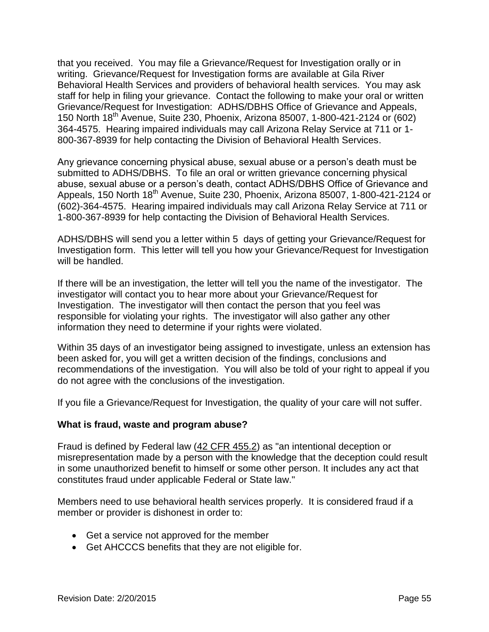that you received. You may file a Grievance/Request for Investigation orally or in writing. Grievance/Request for Investigation forms are available at Gila River Behavioral Health Services and providers of behavioral health services. You may ask staff for help in filing your grievance. Contact the following to make your oral or written Grievance/Request for Investigation: ADHS/DBHS Office of Grievance and Appeals, 150 North 18th Avenue, Suite 230, Phoenix, Arizona 85007, 1-800-421-2124 or (602) 364-4575. Hearing impaired individuals may call Arizona Relay Service at 711 or 1- 800-367-8939 for help contacting the Division of Behavioral Health Services.

Any grievance concerning physical abuse, sexual abuse or a person's death must be submitted to ADHS/DBHS. To file an oral or written grievance concerning physical abuse, sexual abuse or a person's death, contact ADHS/DBHS Office of Grievance and Appeals, 150 North 18<sup>th</sup> Avenue, Suite 230, Phoenix, Arizona 85007, 1-800-421-2124 or (602)-364-4575. Hearing impaired individuals may call Arizona Relay Service at 711 or 1-800-367-8939 for help contacting the Division of Behavioral Health Services.

ADHS/DBHS will send you a letter within 5 days of getting your Grievance/Request for Investigation form. This letter will tell you how your Grievance/Request for Investigation will be handled.

If there will be an investigation, the letter will tell you the name of the investigator. The investigator will contact you to hear more about your Grievance/Request for Investigation. The investigator will then contact the person that you feel was responsible for violating your rights. The investigator will also gather any other information they need to determine if your rights were violated.

Within 35 days of an investigator being assigned to investigate, unless an extension has been asked for, you will get a written decision of the findings, conclusions and recommendations of the investigation. You will also be told of your right to appeal if you do not agree with the conclusions of the investigation.

If you file a Grievance/Request for Investigation, the quality of your care will not suffer.

### <span id="page-54-0"></span>**What is fraud, waste and program abuse?**

Fraud is defined by Federal law [\(42 CFR 455.2\)](http://edocket.access.gpo.gov/cfr_2003/octqtr/42cfr455.2.htm) as "an intentional deception or misrepresentation made by a person with the knowledge that the deception could result in some unauthorized benefit to himself or some other person. It includes any act that constitutes fraud under applicable Federal or State law."

Members need to use behavioral health services properly. It is considered fraud if a member or provider is dishonest in order to:

- Get a service not approved for the member
- Get AHCCCS benefits that they are not eligible for.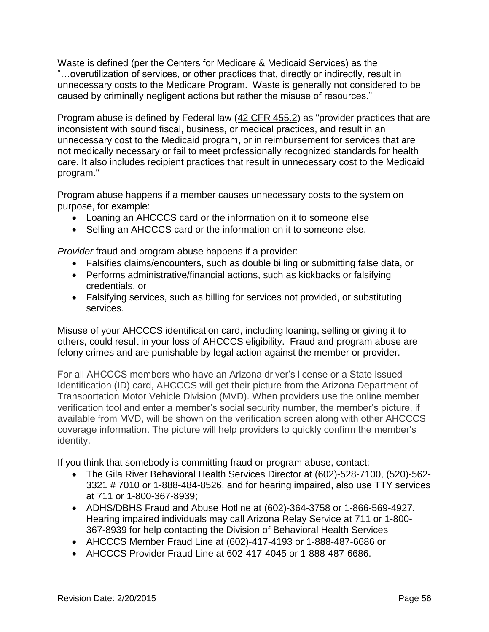Waste is defined (per the Centers for Medicare & Medicaid Services) as the "…overutilization of services, or other practices that, directly or indirectly, result in unnecessary costs to the Medicare Program. Waste is generally not considered to be caused by criminally negligent actions but rather the misuse of resources."

Program abuse is defined by Federal law [\(42 CFR 455.2\)](http://edocket.access.gpo.gov/cfr_2003/octqtr/42cfr455.2.htm) as "provider practices that are inconsistent with sound fiscal, business, or medical practices, and result in an unnecessary cost to the Medicaid program, or in reimbursement for services that are not medically necessary or fail to meet professionally recognized standards for health care. It also includes recipient practices that result in unnecessary cost to the Medicaid program."

Program abuse happens if a member causes unnecessary costs to the system on purpose, for example:

- Loaning an AHCCCS card or the information on it to someone else
- Selling an AHCCCS card or the information on it to someone else.

*Provider* fraud and program abuse happens if a provider:

- Falsifies claims/encounters, such as double billing or submitting false data, or
- Performs administrative/financial actions, such as kickbacks or falsifying credentials, or
- Falsifying services, such as billing for services not provided, or substituting services.

Misuse of your AHCCCS identification card, including loaning, selling or giving it to others, could result in your loss of AHCCCS eligibility. Fraud and program abuse are felony crimes and are punishable by legal action against the member or provider.

For all AHCCCS members who have an Arizona driver's license or a State issued Identification (ID) card, AHCCCS will get their picture from the Arizona Department of Transportation Motor Vehicle Division (MVD). When providers use the online member verification tool and enter a member's social security number, the member's picture, if available from MVD, will be shown on the verification screen along with other AHCCCS coverage information. The picture will help providers to quickly confirm the member's identity.

If you think that somebody is committing fraud or program abuse, contact:

- The Gila River Behavioral Health Services Director at (602)-528-7100, (520)-562- 3321 # 7010 or 1-888-484-8526, and for hearing impaired, also use TTY services at 711 or 1-800-367-8939;
- ADHS/DBHS Fraud and Abuse Hotline at (602)-364-3758 or 1-866-569-4927. Hearing impaired individuals may call Arizona Relay Service at 711 or 1-800- 367-8939 for help contacting the Division of Behavioral Health Services
- AHCCCS Member Fraud Line at (602)-417-4193 or 1-888-487-6686 or
- AHCCCS Provider Fraud Line at 602-417-4045 or 1-888-487-6686.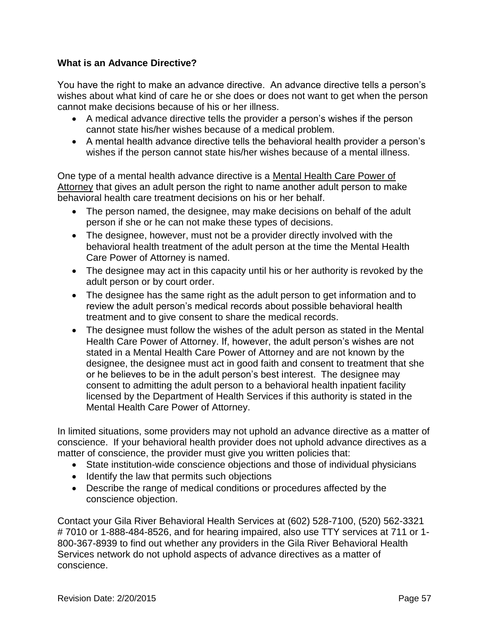### <span id="page-56-0"></span>**What is an Advance Directive?**

You have the right to make an advance directive. An advance directive tells a person's wishes about what kind of care he or she does or does not want to get when the person cannot make decisions because of his or her illness.

- A medical advance directive tells the provider a person's wishes if the person cannot state his/her wishes because of a medical problem.
- A mental health advance directive tells the behavioral health provider a person's wishes if the person cannot state his/her wishes because of a mental illness.

One type of a mental health advance directive is a Mental Health Care Power of Attorney that gives an adult person the right to name another adult person to make behavioral health care treatment decisions on his or her behalf.

- The person named, the designee, may make decisions on behalf of the adult person if she or he can not make these types of decisions.
- The designee, however, must not be a provider directly involved with the behavioral health treatment of the adult person at the time the Mental Health Care Power of Attorney is named.
- The designee may act in this capacity until his or her authority is revoked by the adult person or by court order.
- The designee has the same right as the adult person to get information and to review the adult person's medical records about possible behavioral health treatment and to give consent to share the medical records.
- The designee must follow the wishes of the adult person as stated in the Mental Health Care Power of Attorney. If, however, the adult person's wishes are not stated in a Mental Health Care Power of Attorney and are not known by the designee, the designee must act in good faith and consent to treatment that she or he believes to be in the adult person's best interest. The designee may consent to admitting the adult person to a behavioral health inpatient facility licensed by the Department of Health Services if this authority is stated in the Mental Health Care Power of Attorney.

In limited situations, some providers may not uphold an advance directive as a matter of conscience. If your behavioral health provider does not uphold advance directives as a matter of conscience, the provider must give you written policies that:

- State institution-wide conscience objections and those of individual physicians
- Identify the law that permits such objections
- Describe the range of medical conditions or procedures affected by the conscience objection.

Contact your Gila River Behavioral Health Services at (602) 528-7100, (520) 562-3321 # 7010 or 1-888-484-8526, and for hearing impaired, also use TTY services at 711 or 1- 800-367-8939 to find out whether any providers in the Gila River Behavioral Health Services network do not uphold aspects of advance directives as a matter of conscience.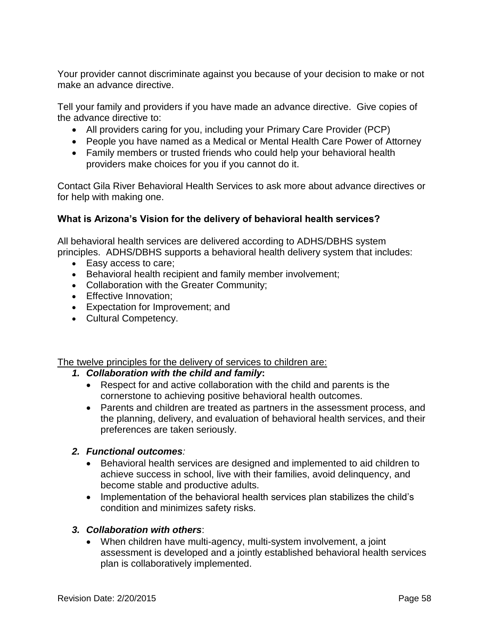Your provider cannot discriminate against you because of your decision to make or not make an advance directive.

Tell your family and providers if you have made an advance directive. Give copies of the advance directive to:

- All providers caring for you, including your Primary Care Provider (PCP)
- People you have named as a Medical or Mental Health Care Power of Attorney
- Family members or trusted friends who could help your behavioral health providers make choices for you if you cannot do it.

Contact Gila River Behavioral Health Services to ask more about advance directives or for help with making one.

# <span id="page-57-0"></span>**What is Arizona's Vision for the delivery of behavioral health services?**

All behavioral health services are delivered according to ADHS/DBHS system principles. ADHS/DBHS supports a behavioral health delivery system that includes:

- Easy access to care;
- Behavioral health recipient and family member involvement;
- Collaboration with the Greater Community;
- **Effective Innovation:**
- Expectation for Improvement; and
- Cultural Competency.

The twelve principles for the delivery of services to children are:

### *1. Collaboration with the child and family***:**

- Respect for and active collaboration with the child and parents is the cornerstone to achieving positive behavioral health outcomes.
- Parents and children are treated as partners in the assessment process, and the planning, delivery, and evaluation of behavioral health services, and their preferences are taken seriously.

# *2. Functional outcomes:*

- Behavioral health services are designed and implemented to aid children to achieve success in school, live with their families, avoid delinquency, and become stable and productive adults.
- Implementation of the behavioral health services plan stabilizes the child's condition and minimizes safety risks.

# *3. Collaboration with others*:

 When children have multi-agency, multi-system involvement, a joint assessment is developed and a jointly established behavioral health services plan is collaboratively implemented.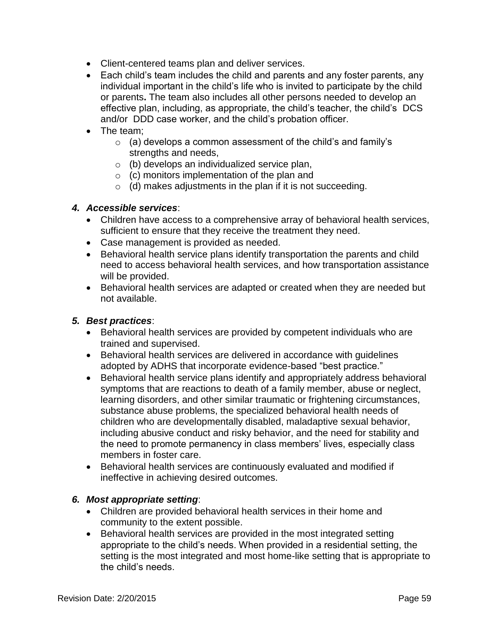- Client-centered teams plan and deliver services.
- Each child's team includes the child and parents and any foster parents, any individual important in the child's life who is invited to participate by the child or parents**.** The team also includes all other persons needed to develop an effective plan, including, as appropriate, the child's teacher, the child's DCS and/or DDD case worker, and the child's probation officer.
- The team:
	- $\circ$  (a) develops a common assessment of the child's and family's strengths and needs,
	- o (b) develops an individualized service plan,
	- $\circ$  (c) monitors implementation of the plan and
	- $\circ$  (d) makes adjustments in the plan if it is not succeeding.

#### *4. Accessible services*:

- Children have access to a comprehensive array of behavioral health services, sufficient to ensure that they receive the treatment they need.
- Case management is provided as needed.
- Behavioral health service plans identify transportation the parents and child need to access behavioral health services, and how transportation assistance will be provided.
- Behavioral health services are adapted or created when they are needed but not available.

#### *5. Best practices*:

- Behavioral health services are provided by competent individuals who are trained and supervised.
- Behavioral health services are delivered in accordance with guidelines adopted by ADHS that incorporate evidence-based "best practice."
- Behavioral health service plans identify and appropriately address behavioral symptoms that are reactions to death of a family member, abuse or neglect, learning disorders, and other similar traumatic or frightening circumstances, substance abuse problems, the specialized behavioral health needs of children who are developmentally disabled, maladaptive sexual behavior, including abusive conduct and risky behavior, and the need for stability and the need to promote permanency in class members' lives, especially class members in foster care.
- Behavioral health services are continuously evaluated and modified if ineffective in achieving desired outcomes.

### *6. Most appropriate setting*:

- Children are provided behavioral health services in their home and community to the extent possible.
- Behavioral health services are provided in the most integrated setting appropriate to the child's needs. When provided in a residential setting, the setting is the most integrated and most home-like setting that is appropriate to the child's needs.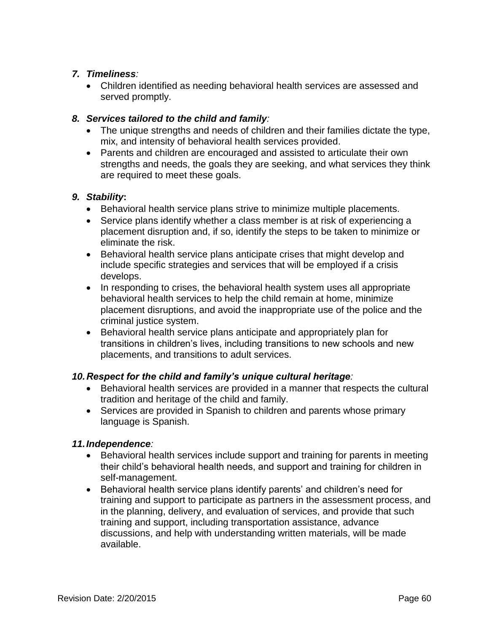# *7. Timeliness:*

 Children identified as needing behavioral health services are assessed and served promptly.

### *8. Services tailored to the child and family:*

- The unique strengths and needs of children and their families dictate the type, mix, and intensity of behavioral health services provided.
- Parents and children are encouraged and assisted to articulate their own strengths and needs, the goals they are seeking, and what services they think are required to meet these goals.

### *9. Stability***:**

- Behavioral health service plans strive to minimize multiple placements.
- Service plans identify whether a class member is at risk of experiencing a placement disruption and, if so, identify the steps to be taken to minimize or eliminate the risk.
- Behavioral health service plans anticipate crises that might develop and include specific strategies and services that will be employed if a crisis develops.
- In responding to crises, the behavioral health system uses all appropriate behavioral health services to help the child remain at home, minimize placement disruptions, and avoid the inappropriate use of the police and the criminal justice system.
- Behavioral health service plans anticipate and appropriately plan for transitions in children's lives, including transitions to new schools and new placements, and transitions to adult services.

# *10.Respect for the child and family's unique cultural heritage:*

- Behavioral health services are provided in a manner that respects the cultural tradition and heritage of the child and family.
- Services are provided in Spanish to children and parents whose primary language is Spanish.

### *11.Independence:*

- Behavioral health services include support and training for parents in meeting their child's behavioral health needs, and support and training for children in self-management.
- Behavioral health service plans identify parents' and children's need for training and support to participate as partners in the assessment process, and in the planning, delivery, and evaluation of services, and provide that such training and support, including transportation assistance, advance discussions, and help with understanding written materials, will be made available.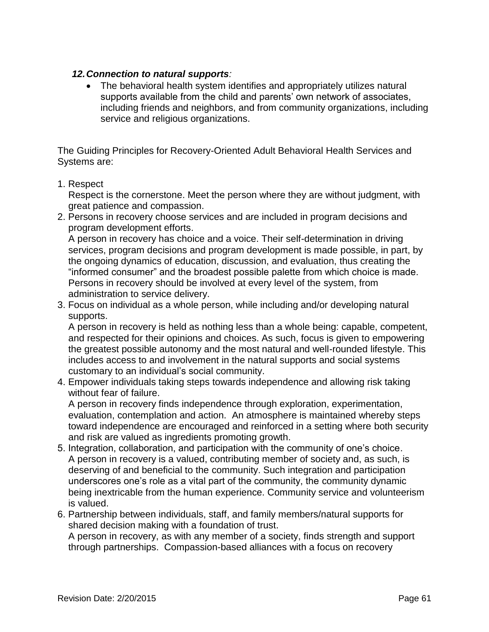### *12.Connection to natural supports:*

 The behavioral health system identifies and appropriately utilizes natural supports available from the child and parents' own network of associates, including friends and neighbors, and from community organizations, including service and religious organizations.

The Guiding Principles for Recovery-Oriented Adult Behavioral Health Services and Systems are:

### 1. Respect

Respect is the cornerstone. Meet the person where they are without judgment, with great patience and compassion.

2. Persons in recovery choose services and are included in program decisions and program development efforts.

A person in recovery has choice and a voice. Their self-determination in driving services, program decisions and program development is made possible, in part, by the ongoing dynamics of education, discussion, and evaluation, thus creating the "informed consumer" and the broadest possible palette from which choice is made. Persons in recovery should be involved at every level of the system, from administration to service delivery.

3. Focus on individual as a whole person, while including and/or developing natural supports.

A person in recovery is held as nothing less than a whole being: capable, competent, and respected for their opinions and choices. As such, focus is given to empowering the greatest possible autonomy and the most natural and well-rounded lifestyle. This includes access to and involvement in the natural supports and social systems customary to an individual's social community.

4. Empower individuals taking steps towards independence and allowing risk taking without fear of failure.

A person in recovery finds independence through exploration, experimentation, evaluation, contemplation and action. An atmosphere is maintained whereby steps toward independence are encouraged and reinforced in a setting where both security and risk are valued as ingredients promoting growth.

- 5. Integration, collaboration, and participation with the community of one's choice. A person in recovery is a valued, contributing member of society and, as such, is deserving of and beneficial to the community. Such integration and participation underscores one's role as a vital part of the community, the community dynamic being inextricable from the human experience. Community service and volunteerism is valued.
- 6. Partnership between individuals, staff, and family members/natural supports for shared decision making with a foundation of trust.

A person in recovery, as with any member of a society, finds strength and support through partnerships. Compassion-based alliances with a focus on recovery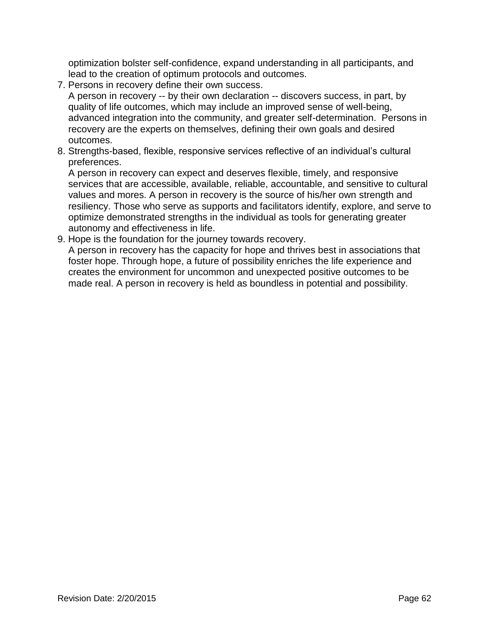optimization bolster self-confidence, expand understanding in all participants, and lead to the creation of optimum protocols and outcomes.

7. Persons in recovery define their own success.

A person in recovery -- by their own declaration -- discovers success, in part, by quality of life outcomes, which may include an improved sense of well-being, advanced integration into the community, and greater self-determination. Persons in recovery are the experts on themselves, defining their own goals and desired outcomes.

8. Strengths-based, flexible, responsive services reflective of an individual's cultural preferences.

A person in recovery can expect and deserves flexible, timely, and responsive services that are accessible, available, reliable, accountable, and sensitive to cultural values and mores. A person in recovery is the source of his/her own strength and resiliency. Those who serve as supports and facilitators identify, explore, and serve to optimize demonstrated strengths in the individual as tools for generating greater autonomy and effectiveness in life.

9. Hope is the foundation for the journey towards recovery.

A person in recovery has the capacity for hope and thrives best in associations that foster hope. Through hope, a future of possibility enriches the life experience and creates the environment for uncommon and unexpected positive outcomes to be made real. A person in recovery is held as boundless in potential and possibility.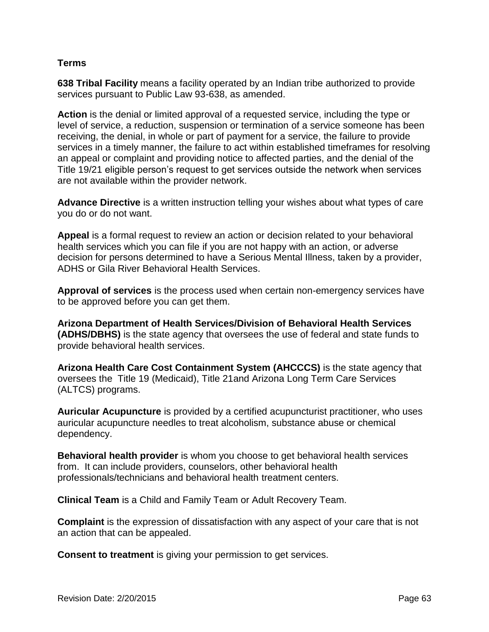### <span id="page-62-0"></span>**Terms**

**638 Tribal Facility** means a facility operated by an Indian tribe authorized to provide services pursuant to Public Law 93-638, as amended.

**Action** is the denial or limited approval of a requested service, including the type or level of service, a reduction, suspension or termination of a service someone has been receiving, the denial, in whole or part of payment for a service, the failure to provide services in a timely manner, the failure to act within established timeframes for resolving an appeal or complaint and providing notice to affected parties, and the denial of the Title 19/21 eligible person's request to get services outside the network when services are not available within the provider network.

**Advance Directive** is a written instruction telling your wishes about what types of care you do or do not want.

**Appeal** is a formal request to review an action or decision related to your behavioral health services which you can file if you are not happy with an action, or adverse decision for persons determined to have a Serious Mental Illness, taken by a provider, ADHS or Gila River Behavioral Health Services.

**Approval of services** is the process used when certain non-emergency services have to be approved before you can get them.

**Arizona Department of Health Services/Division of Behavioral Health Services (ADHS/DBHS)** is the state agency that oversees the use of federal and state funds to provide behavioral health services.

**Arizona Health Care Cost Containment System (AHCCCS)** is the state agency that oversees the Title 19 (Medicaid), Title 21and Arizona Long Term Care Services (ALTCS) programs.

**Auricular Acupuncture** is provided by a certified acupuncturist practitioner, who uses auricular acupuncture needles to treat alcoholism, substance abuse or chemical dependency.

**Behavioral health provider** is whom you choose to get behavioral health services from. It can include providers, counselors, other behavioral health professionals/technicians and behavioral health treatment centers.

**Clinical Team** is a Child and Family Team or Adult Recovery Team.

**Complaint** is the expression of dissatisfaction with any aspect of your care that is not an action that can be appealed.

**Consent to treatment** is giving your permission to get services.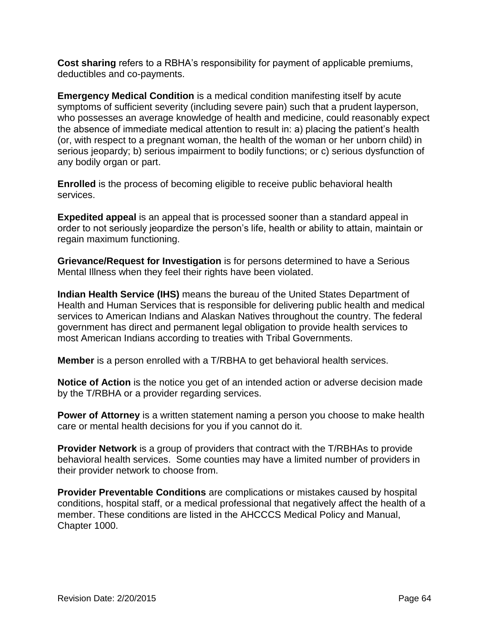**Cost sharing** refers to a RBHA's responsibility for payment of applicable premiums, deductibles and co-payments.

**Emergency Medical Condition** is a medical condition manifesting itself by acute symptoms of sufficient severity (including severe pain) such that a prudent layperson, who possesses an average knowledge of health and medicine, could reasonably expect the absence of immediate medical attention to result in: a) placing the patient's health (or, with respect to a pregnant woman, the health of the woman or her unborn child) in serious jeopardy; b) serious impairment to bodily functions; or c) serious dysfunction of any bodily organ or part.

**Enrolled** is the process of becoming eligible to receive public behavioral health services.

**Expedited appeal** is an appeal that is processed sooner than a standard appeal in order to not seriously jeopardize the person's life, health or ability to attain, maintain or regain maximum functioning.

**Grievance/Request for Investigation** is for persons determined to have a Serious Mental Illness when they feel their rights have been violated.

**Indian Health Service (IHS)** means the bureau of the United States Department of Health and Human Services that is responsible for delivering public health and medical services to American Indians and Alaskan Natives throughout the country. The federal government has direct and permanent legal obligation to provide health services to most American Indians according to treaties with Tribal Governments.

**Member** is a person enrolled with a T/RBHA to get behavioral health services.

**Notice of Action** is the notice you get of an intended action or adverse decision made by the T/RBHA or a provider regarding services.

**Power of Attorney** is a written statement naming a person you choose to make health care or mental health decisions for you if you cannot do it.

**Provider Network** is a group of providers that contract with the T/RBHAs to provide behavioral health services. Some counties may have a limited number of providers in their provider network to choose from.

**Provider Preventable Conditions** are complications or mistakes caused by hospital conditions, hospital staff, or a medical professional that negatively affect the health of a member. These conditions are listed in the AHCCCS Medical Policy and Manual, Chapter 1000.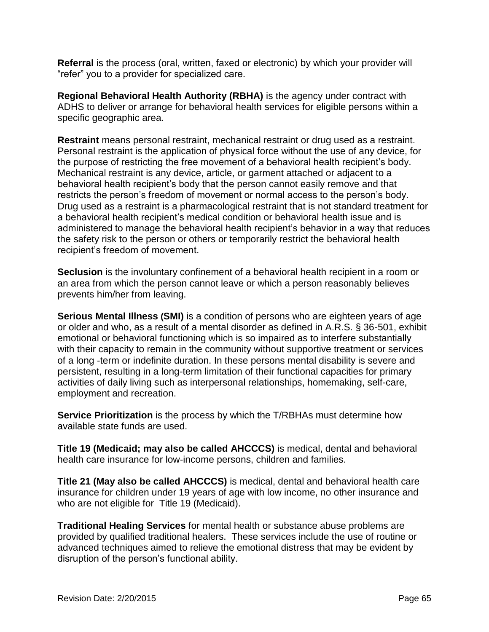**Referral** is the process (oral, written, faxed or electronic) by which your provider will "refer" you to a provider for specialized care.

**Regional Behavioral Health Authority (RBHA)** is the agency under contract with ADHS to deliver or arrange for behavioral health services for eligible persons within a specific geographic area.

**Restraint** means personal restraint, mechanical restraint or drug used as a restraint. Personal restraint is the application of physical force without the use of any device, for the purpose of restricting the free movement of a behavioral health recipient's body. Mechanical restraint is any device, article, or garment attached or adjacent to a behavioral health recipient's body that the person cannot easily remove and that restricts the person's freedom of movement or normal access to the person's body. Drug used as a restraint is a pharmacological restraint that is not standard treatment for a behavioral health recipient's medical condition or behavioral health issue and is administered to manage the behavioral health recipient's behavior in a way that reduces the safety risk to the person or others or temporarily restrict the behavioral health recipient's freedom of movement.

**Seclusion** is the involuntary confinement of a behavioral health recipient in a room or an area from which the person cannot leave or which a person reasonably believes prevents him/her from leaving.

**Serious Mental Illness (SMI)** is a condition of persons who are eighteen years of age or older and who, as a result of a mental disorder as defined in A.R.S. § 36-501, exhibit emotional or behavioral functioning which is so impaired as to interfere substantially with their capacity to remain in the community without supportive treatment or services of a long -term or indefinite duration. In these persons mental disability is severe and persistent, resulting in a long-term limitation of their functional capacities for primary activities of daily living such as interpersonal relationships, homemaking, self-care, employment and recreation.

**Service Prioritization** is the process by which the T/RBHAs must determine how available state funds are used.

**Title 19 (Medicaid; may also be called AHCCCS)** is medical, dental and behavioral health care insurance for low-income persons, children and families.

**Title 21 (May also be called AHCCCS)** is medical, dental and behavioral health care insurance for children under 19 years of age with low income, no other insurance and who are not eligible for Title 19 (Medicaid).

**Traditional Healing Services** for mental health or substance abuse problems are provided by qualified traditional healers. These services include the use of routine or advanced techniques aimed to relieve the emotional distress that may be evident by disruption of the person's functional ability.